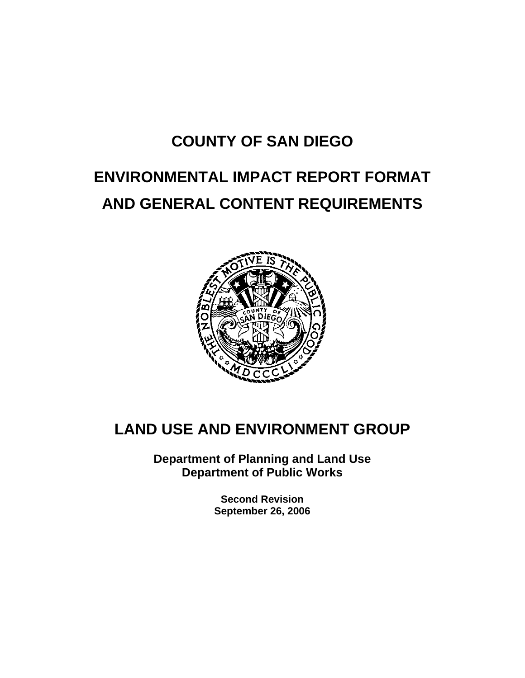# **COUNTY OF SAN DIEGO**

# **ENVIRONMENTAL IMPACT REPORT FORMAT AND GENERAL CONTENT REQUIREMENTS**



# **LAND USE AND ENVIRONMENT GROUP**

**Department of Planning and Land Use Department of Public Works** 

> **Second Revision September 26, 2006**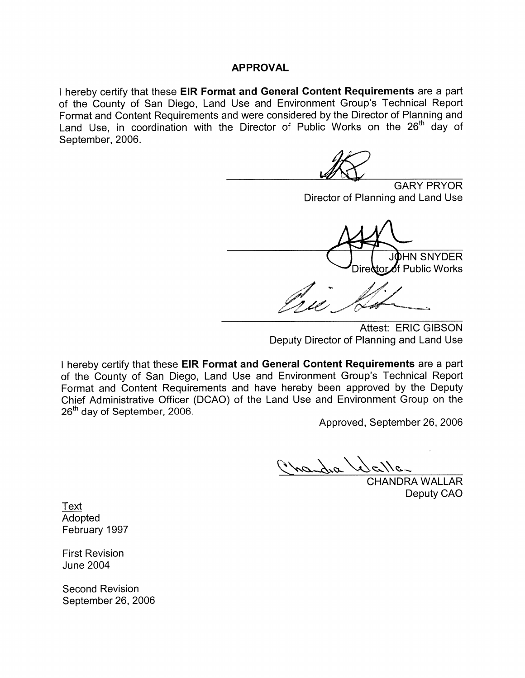#### **APPROVAL**

I hereby certify that these EIR Format and General Content Requirements are a part of the County of San Diego, Land Use and Environment Group's Technical Report Format and Content Requirements and were considered by the Director of Planning and Land Use, in coordination with the Director of Public Works on the 26<sup>th</sup> day of September, 2006.

**GARY PRYOR** Director of Planning and Land Use

JÒHN SNYDER Dire&tor⊿f Public Works

Attest: ERIC GIBSON Deputy Director of Planning and Land Use

I hereby certify that these EIR Format and General Content Requirements are a part of the County of San Diego, Land Use and Environment Group's Technical Report Format and Content Requirements and have hereby been approved by the Deputy Chief Administrative Officer (DCAO) of the Land Use and Environment Group on the 26<sup>th</sup> day of September, 2006.

Approved, September 26, 2006

nandra la

Selle<br>CHANDRA WALLAR Deputy CAO

Text Adopted February 1997

**First Revision June 2004** 

**Second Revision** September 26, 2006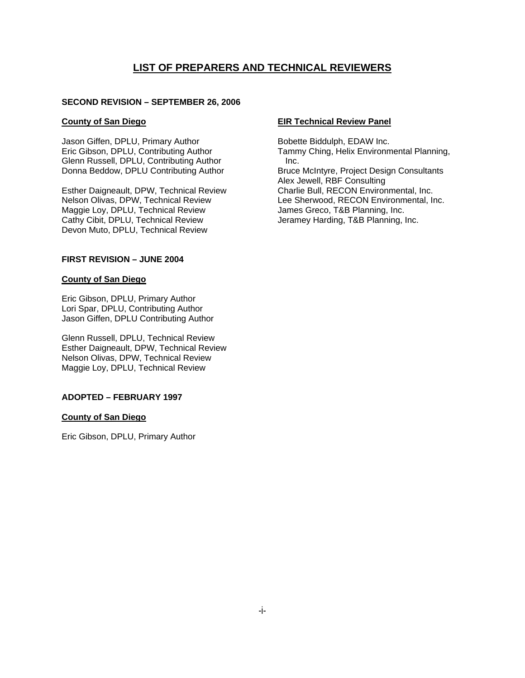#### **LIST OF PREPARERS AND TECHNICAL REVIEWERS**

#### **SECOND REVISION – SEPTEMBER 26, 2006**

#### **County of San Diego**

Jason Giffen, DPLU, Primary Author Eric Gibson, DPLU, Contributing Author Glenn Russell, DPLU, Contributing Author Donna Beddow, DPLU Contributing Author

Esther Daigneault, DPW, Technical Review Nelson Olivas, DPW, Technical Review Maggie Loy, DPLU, Technical Review Cathy Cibit, DPLU, Technical Review Devon Muto, DPLU, Technical Review

#### **FIRST REVISION – JUNE 2004**

#### **County of San Diego**

Eric Gibson, DPLU, Primary Author Lori Spar, DPLU, Contributing Author Jason Giffen, DPLU Contributing Author

Glenn Russell, DPLU, Technical Review Esther Daigneault, DPW, Technical Review Nelson Olivas, DPW, Technical Review Maggie Loy, DPLU, Technical Review

#### **ADOPTED – FEBRUARY 1997**

#### **County of San Diego**

Eric Gibson, DPLU, Primary Author

#### **EIR Technical Review Panel**

Bobette Biddulph, EDAW Inc. Tammy Ching, Helix Environmental Planning, Inc. Bruce McIntyre, Project Design Consultants Alex Jewell, RBF Consulting Charlie Bull, RECON Environmental, Inc. Lee Sherwood, RECON Environmental, Inc. James Greco, T&B Planning, Inc. Jeramey Harding, T&B Planning, Inc.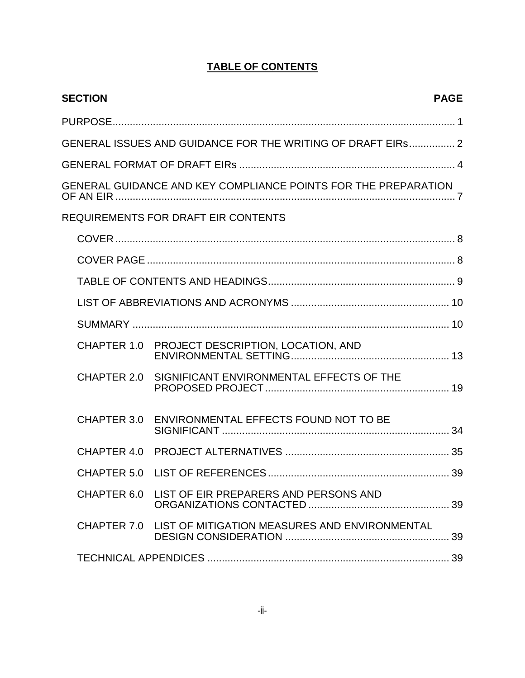## **TABLE OF CONTENTS**

| <b>SECTION</b> |                                                                | <b>PAGE</b> |
|----------------|----------------------------------------------------------------|-------------|
|                |                                                                |             |
|                | GENERAL ISSUES AND GUIDANCE FOR THE WRITING OF DRAFT EIRS 2    |             |
|                |                                                                |             |
|                | GENERAL GUIDANCE AND KEY COMPLIANCE POINTS FOR THE PREPARATION |             |
|                | <b>REQUIREMENTS FOR DRAFT EIR CONTENTS</b>                     |             |
|                |                                                                |             |
|                |                                                                |             |
|                |                                                                |             |
|                |                                                                |             |
|                |                                                                |             |
|                | CHAPTER 1.0 PROJECT DESCRIPTION, LOCATION, AND                 |             |
| CHAPTER 2.0    | SIGNIFICANT ENVIRONMENTAL EFFECTS OF THE                       |             |
|                | CHAPTER 3.0 ENVIRONMENTAL EFFECTS FOUND NOT TO BE              |             |
|                |                                                                |             |
|                |                                                                | 39          |
|                | CHAPTER 6.0 LIST OF EIR PREPARERS AND PERSONS AND              |             |
|                | CHAPTER 7.0 LIST OF MITIGATION MEASURES AND ENVIRONMENTAL      |             |
|                |                                                                |             |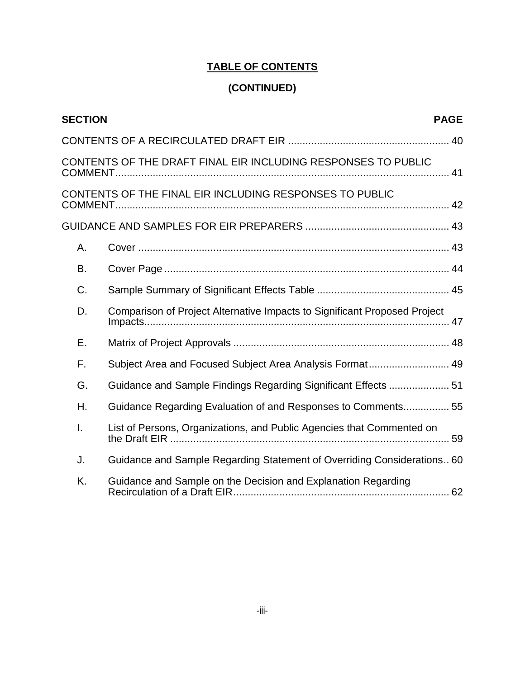## **TABLE OF CONTENTS**

## **(CONTINUED)**

| <b>SECTION</b> |                                                                           | <b>PAGE</b> |
|----------------|---------------------------------------------------------------------------|-------------|
|                |                                                                           |             |
|                | CONTENTS OF THE DRAFT FINAL EIR INCLUDING RESPONSES TO PUBLIC             |             |
|                | CONTENTS OF THE FINAL EIR INCLUDING RESPONSES TO PUBLIC                   |             |
|                |                                                                           |             |
| А.             |                                                                           |             |
| В.             |                                                                           |             |
| C.             |                                                                           |             |
| D.             | Comparison of Project Alternative Impacts to Significant Proposed Project |             |
| Ε.             |                                                                           |             |
| F.             | Subject Area and Focused Subject Area Analysis Format 49                  |             |
| G.             | Guidance and Sample Findings Regarding Significant Effects  51            |             |
| Η.             | Guidance Regarding Evaluation of and Responses to Comments 55             |             |
| Ī.             | List of Persons, Organizations, and Public Agencies that Commented on     |             |
| J.             | Guidance and Sample Regarding Statement of Overriding Considerations 60   |             |
| K.             | Guidance and Sample on the Decision and Explanation Regarding             |             |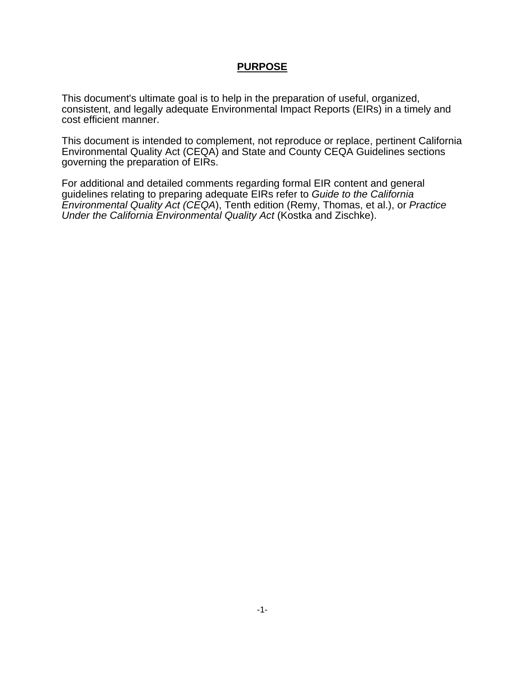#### **PURPOSE**

This document's ultimate goal is to help in the preparation of useful, organized, consistent, and legally adequate Environmental Impact Reports (EIRs) in a timely and cost efficient manner.

This document is intended to complement, not reproduce or replace, pertinent California Environmental Quality Act (CEQA) and State and County CEQA Guidelines sections governing the preparation of EIRs.

For additional and detailed comments regarding formal EIR content and general guidelines relating to preparing adequate EIRs refer to *Guide to the California Environmental Quality Act (CEQA*), Tenth edition (Remy, Thomas, et al.), or *Practice Under the California Environmental Quality Act* (Kostka and Zischke).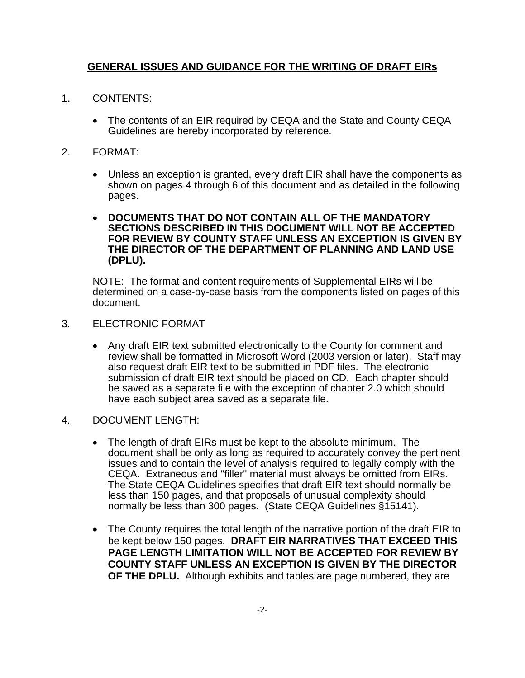#### **GENERAL ISSUES AND GUIDANCE FOR THE WRITING OF DRAFT EIRs**

- 1. CONTENTS:
	- The contents of an EIR required by CEQA and the State and County CEQA Guidelines are hereby incorporated by reference.
- 2. FORMAT:
	- Unless an exception is granted, every draft EIR shall have the components as shown on pages 4 through 6 of this document and as detailed in the following pages.
	- **DOCUMENTS THAT DO NOT CONTAIN ALL OF THE MANDATORY SECTIONS DESCRIBED IN THIS DOCUMENT WILL NOT BE ACCEPTED FOR REVIEW BY COUNTY STAFF UNLESS AN EXCEPTION IS GIVEN BY THE DIRECTOR OF THE DEPARTMENT OF PLANNING AND LAND USE (DPLU).**

 NOTE: The format and content requirements of Supplemental EIRs will be determined on a case-by-case basis from the components listed on pages of this document.

- 3. ELECTRONIC FORMAT
	- Any draft EIR text submitted electronically to the County for comment and review shall be formatted in Microsoft Word (2003 version or later). Staff may also request draft EIR text to be submitted in PDF files. The electronic submission of draft EIR text should be placed on CD. Each chapter should be saved as a separate file with the exception of chapter 2.0 which should have each subject area saved as a separate file.
- 4. DOCUMENT LENGTH:
	- The length of draft EIRs must be kept to the absolute minimum. The document shall be only as long as required to accurately convey the pertinent issues and to contain the level of analysis required to legally comply with the CEQA. Extraneous and "filler" material must always be omitted from EIRs. The State CEQA Guidelines specifies that draft EIR text should normally be less than 150 pages, and that proposals of unusual complexity should normally be less than 300 pages. (State CEQA Guidelines §15141).
	- The County requires the total length of the narrative portion of the draft EIR to be kept below 150 pages. **DRAFT EIR NARRATIVES THAT EXCEED THIS PAGE LENGTH LIMITATION WILL NOT BE ACCEPTED FOR REVIEW BY COUNTY STAFF UNLESS AN EXCEPTION IS GIVEN BY THE DIRECTOR OF THE DPLU.** Although exhibits and tables are page numbered, they are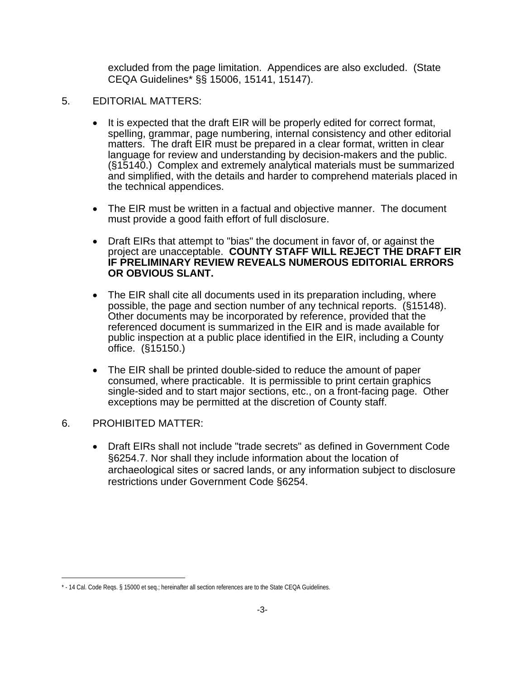excluded from the page limitation. Appendices are also excluded. (State CEQA Guidelines\* §§ 15006, 15141, 15147).

- 5. EDITORIAL MATTERS:
	- It is expected that the draft EIR will be properly edited for correct format, spelling, grammar, page numbering, internal consistency and other editorial matters. The draft EIR must be prepared in a clear format, written in clear language for review and understanding by decision-makers and the public. (§15140.) Complex and extremely analytical materials must be summarized and simplified, with the details and harder to comprehend materials placed in the technical appendices.
	- The EIR must be written in a factual and objective manner. The document must provide a good faith effort of full disclosure.
	- Draft EIRs that attempt to "bias" the document in favor of, or against the project are unacceptable. **COUNTY STAFF WILL REJECT THE DRAFT EIR IF PRELIMINARY REVIEW REVEALS NUMEROUS EDITORIAL ERRORS OR OBVIOUS SLANT.**
	- The EIR shall cite all documents used in its preparation including, where possible, the page and section number of any technical reports. (§15148). Other documents may be incorporated by reference, provided that the referenced document is summarized in the EIR and is made available for public inspection at a public place identified in the EIR, including a County office. (§15150.)
	- The EIR shall be printed double-sided to reduce the amount of paper consumed, where practicable. It is permissible to print certain graphics single-sided and to start major sections, etc., on a front-facing page. Other exceptions may be permitted at the discretion of County staff.
- 6. PROHIBITED MATTER:

 $\overline{a}$ 

• Draft EIRs shall not include "trade secrets" as defined in Government Code §6254.7. Nor shall they include information about the location of archaeological sites or sacred lands, or any information subject to disclosure restrictions under Government Code §6254.

<sup>\* - 14</sup> Cal. Code Reqs. § 15000 et seq.; hereinafter all section references are to the State CEQA Guidelines.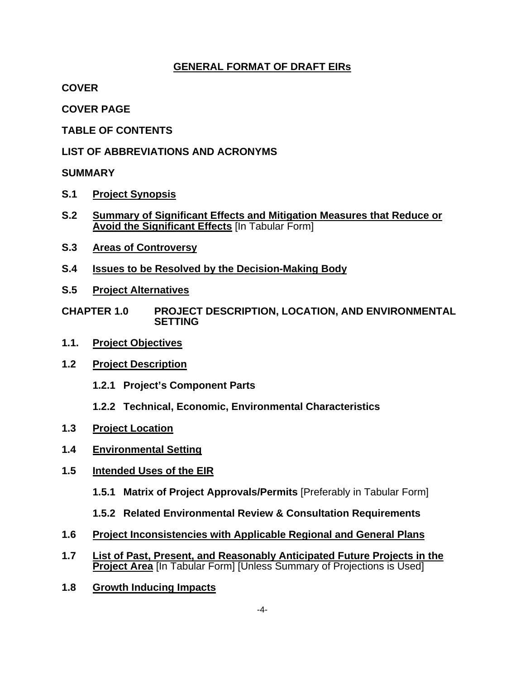#### **GENERAL FORMAT OF DRAFT EIRs**

**COVER** 

**COVER PAGE**

**TABLE OF CONTENTS** 

**LIST OF ABBREVIATIONS AND ACRONYMS** 

#### **SUMMARY**

- **S.1 Project Synopsis**
- **S.2 Summary of Significant Effects and Mitigation Measures that Reduce or Avoid the Significant Effects** [In Tabular Form]
- **S.3 Areas of Controversy**
- **S.4 Issues to be Resolved by the Decision-Making Body**
- **S.5 Project Alternatives**
- **CHAPTER 1.0 PROJECT DESCRIPTION, LOCATION, AND ENVIRONMENTAL SETTING**
- **1.1. Project Objectives**
- **1.2 Project Description**
	- **1.2.1 Project's Component Parts**
	- **1.2.2 Technical, Economic, Environmental Characteristics**
- **1.3 Project Location**
- **1.4 Environmental Setting**
- **1.5 Intended Uses of the EIR**
	- **1.5.1 Matrix of Project Approvals/Permits** [Preferably in Tabular Form]
	- **1.5.2 Related Environmental Review & Consultation Requirements**
- **1.6 Project Inconsistencies with Applicable Regional and General Plans**
- **1.7 List of Past, Present, and Reasonably Anticipated Future Projects in the Project Area** [In Tabular Form] [Unless Summary of Projections is Used]
- **1.8 Growth Inducing Impacts**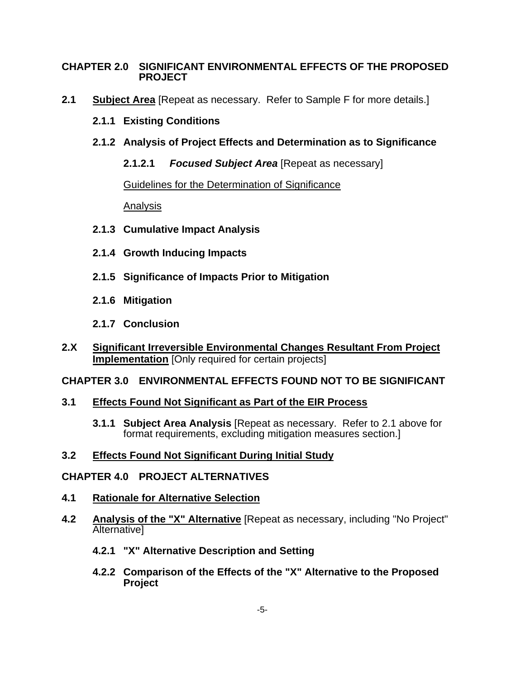#### **CHAPTER 2.0 SIGNIFICANT ENVIRONMENTAL EFFECTS OF THE PROPOSED PROJECT**

- **2.1 Subject Area** [Repeat as necessary. Refer to Sample F for more details.]
	- **2.1.1 Existing Conditions**
	- **2.1.2 Analysis of Project Effects and Determination as to Significance** 
		- **2.1.2.1** *Focused Subject Area* [Repeat as necessary]

Guidelines for the Determination of Significance

Analysis

- **2.1.3 Cumulative Impact Analysis**
- **2.1.4 Growth Inducing Impacts**
- **2.1.5 Significance of Impacts Prior to Mitigation**
- **2.1.6 Mitigation**
- **2.1.7 Conclusion**
- **2.X Significant Irreversible Environmental Changes Resultant From Project Implementation** [Only required for certain projects]

#### **CHAPTER 3.0 ENVIRONMENTAL EFFECTS FOUND NOT TO BE SIGNIFICANT**

#### **3.1 Effects Found Not Significant as Part of the EIR Process**

**3.1.1 Subject Area Analysis** [Repeat as necessary. Refer to 2.1 above for format requirements, excluding mitigation measures section.]

#### **3.2 Effects Found Not Significant During Initial Study**

#### **CHAPTER 4.0 PROJECT ALTERNATIVES**

- **4.1 Rationale for Alternative Selection**
- **4.2 Analysis of the "X" Alternative** [Repeat as necessary, including "No Project" **Alternativel** 
	- **4.2.1 "X" Alternative Description and Setting**
	- **4.2.2 Comparison of the Effects of the "X" Alternative to the Proposed Project**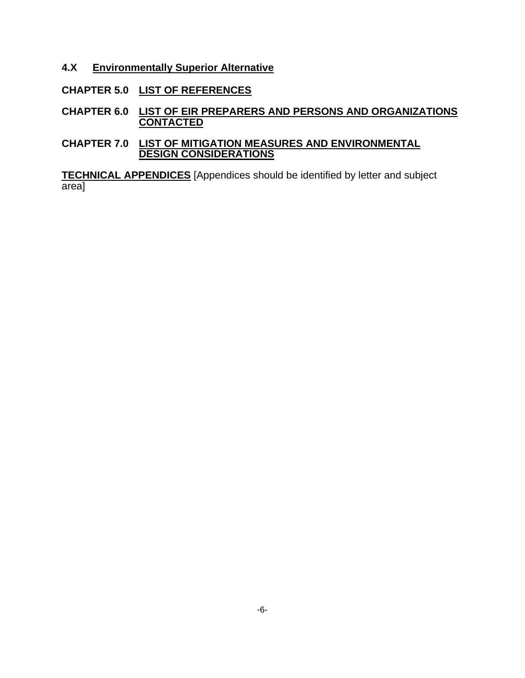- **4.X Environmentally Superior Alternative**
- **CHAPTER 5.0 LIST OF REFERENCES**
- **CHAPTER 6.0 LIST OF EIR PREPARERS AND PERSONS AND ORGANIZATIONS CONTACTED**
- **CHAPTER 7.0 LIST OF MITIGATION MEASURES AND ENVIRONMENTAL DESIGN CONSIDERATIONS**

**TECHNICAL APPENDICES** [Appendices should be identified by letter and subject area]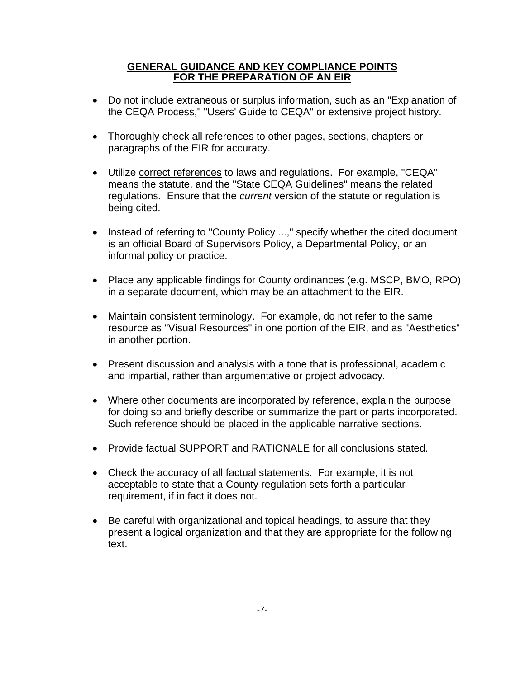#### **GENERAL GUIDANCE AND KEY COMPLIANCE POINTS FOR THE PREPARATION OF AN EIR**

- Do not include extraneous or surplus information, such as an "Explanation of the CEQA Process," "Users' Guide to CEQA" or extensive project history.
- Thoroughly check all references to other pages, sections, chapters or paragraphs of the EIR for accuracy.
- Utilize correct references to laws and regulations. For example, "CEQA" means the statute, and the "State CEQA Guidelines" means the related regulations. Ensure that the *current* version of the statute or regulation is being cited.
- Instead of referring to "County Policy ...," specify whether the cited document is an official Board of Supervisors Policy, a Departmental Policy, or an informal policy or practice.
- Place any applicable findings for County ordinances (e.g. MSCP, BMO, RPO) in a separate document, which may be an attachment to the EIR.
- Maintain consistent terminology. For example, do not refer to the same resource as "Visual Resources" in one portion of the EIR, and as "Aesthetics" in another portion.
- Present discussion and analysis with a tone that is professional, academic and impartial, rather than argumentative or project advocacy.
- Where other documents are incorporated by reference, explain the purpose for doing so and briefly describe or summarize the part or parts incorporated. Such reference should be placed in the applicable narrative sections.
- Provide factual SUPPORT and RATIONALE for all conclusions stated.
- Check the accuracy of all factual statements. For example, it is not acceptable to state that a County regulation sets forth a particular requirement, if in fact it does not.
- Be careful with organizational and topical headings, to assure that they present a logical organization and that they are appropriate for the following text.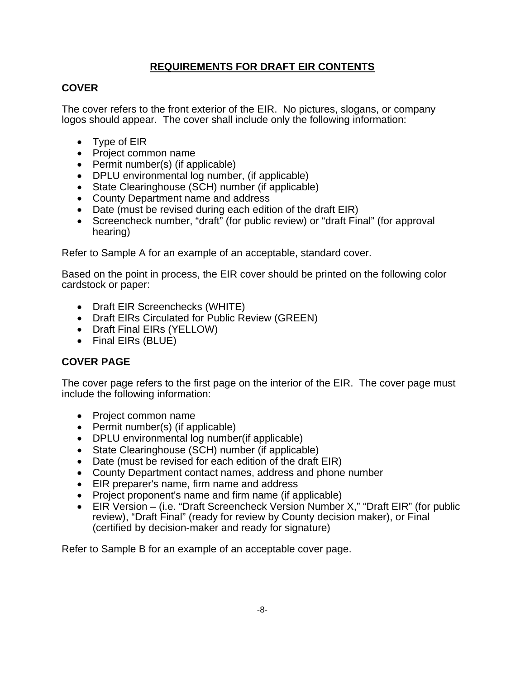### **REQUIREMENTS FOR DRAFT EIR CONTENTS**

#### **COVER**

The cover refers to the front exterior of the EIR. No pictures, slogans, or company logos should appear. The cover shall include only the following information:

- Type of EIR
- Project common name
- Permit number(s) (if applicable)
- DPLU environmental log number, (if applicable)
- State Clearinghouse (SCH) number (if applicable)
- County Department name and address
- Date (must be revised during each edition of the draft EIR)
- Screencheck number, "draft" (for public review) or "draft Final" (for approval hearing)

Refer to Sample A for an example of an acceptable, standard cover.

Based on the point in process, the EIR cover should be printed on the following color cardstock or paper:

- Draft EIR Screenchecks (WHITE)
- Draft EIRs Circulated for Public Review (GREEN)
- Draft Final EIRs (YELLOW)
- Final EIRs (BLUE)

### **COVER PAGE**

The cover page refers to the first page on the interior of the EIR. The cover page must include the following information:

- Project common name
- Permit number(s) (if applicable)
- DPLU environmental log number(if applicable)
- State Clearinghouse (SCH) number (if applicable)
- Date (must be revised for each edition of the draft EIR)
- County Department contact names, address and phone number
- EIR preparer's name, firm name and address
- Project proponent's name and firm name (if applicable)
- EIR Version (i.e. "Draft Screencheck Version Number X," "Draft EIR" (for public review), "Draft Final" (ready for review by County decision maker), or Final (certified by decision-maker and ready for signature)

Refer to Sample B for an example of an acceptable cover page.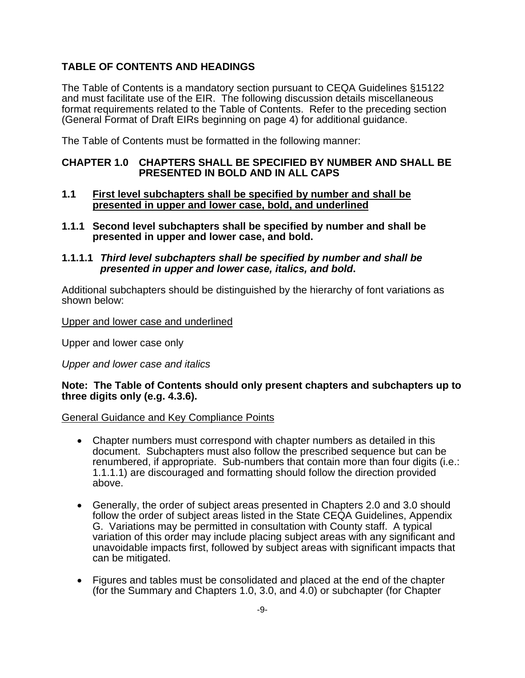#### **TABLE OF CONTENTS AND HEADINGS**

The Table of Contents is a mandatory section pursuant to CEQA Guidelines §15122 and must facilitate use of the EIR. The following discussion details miscellaneous format requirements related to the Table of Contents. Refer to the preceding section (General Format of Draft EIRs beginning on page 4) for additional guidance.

The Table of Contents must be formatted in the following manner:

#### **CHAPTER 1.0 CHAPTERS SHALL BE SPECIFIED BY NUMBER AND SHALL BE PRESENTED IN BOLD AND IN ALL CAPS**

- **1.1 First level subchapters shall be specified by number and shall be presented in upper and lower case, bold, and underlined**
- **1.1.1 Second level subchapters shall be specified by number and shall be presented in upper and lower case, and bold.**
- **1.1.1.1** *Third level subchapters shall be specified by number and shall be presented in upper and lower case, italics, and bold***.**

Additional subchapters should be distinguished by the hierarchy of font variations as shown below:

Upper and lower case and underlined

Upper and lower case only

*Upper and lower case and italics* 

#### **Note: The Table of Contents should only present chapters and subchapters up to three digits only (e.g. 4.3.6).**

#### General Guidance and Key Compliance Points

- Chapter numbers must correspond with chapter numbers as detailed in this document. Subchapters must also follow the prescribed sequence but can be renumbered, if appropriate. Sub-numbers that contain more than four digits (i.e.: 1.1.1.1) are discouraged and formatting should follow the direction provided above.
- Generally, the order of subject areas presented in Chapters 2.0 and 3.0 should follow the order of subject areas listed in the State CEQA Guidelines, Appendix G. Variations may be permitted in consultation with County staff. A typical variation of this order may include placing subject areas with any significant and unavoidable impacts first, followed by subject areas with significant impacts that can be mitigated.
- Figures and tables must be consolidated and placed at the end of the chapter (for the Summary and Chapters 1.0, 3.0, and 4.0) or subchapter (for Chapter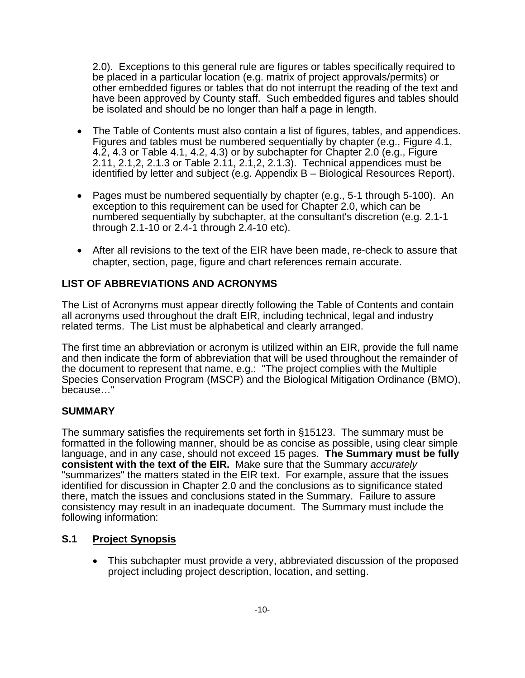2.0). Exceptions to this general rule are figures or tables specifically required to be placed in a particular location (e.g. matrix of project approvals/permits) or other embedded figures or tables that do not interrupt the reading of the text and have been approved by County staff. Such embedded figures and tables should be isolated and should be no longer than half a page in length.

- The Table of Contents must also contain a list of figures, tables, and appendices. Figures and tables must be numbered sequentially by chapter (e.g., Figure 4.1, 4.2, 4.3 or Table 4.1, 4.2, 4.3) or by subchapter for Chapter 2.0 (e.g., Figure 2.11, 2.1,2, 2.1.3 or Table 2.11, 2.1,2, 2.1.3). Technical appendices must be identified by letter and subject (e.g. Appendix B – Biological Resources Report).
- Pages must be numbered sequentially by chapter (e.g., 5-1 through 5-100). An exception to this requirement can be used for Chapter 2.0, which can be numbered sequentially by subchapter, at the consultant's discretion (e.g. 2.1-1 through 2.1-10 or 2.4-1 through 2.4-10 etc).
- After all revisions to the text of the EIR have been made, re-check to assure that chapter, section, page, figure and chart references remain accurate.

#### **LIST OF ABBREVIATIONS AND ACRONYMS**

The List of Acronyms must appear directly following the Table of Contents and contain all acronyms used throughout the draft EIR, including technical, legal and industry related terms. The List must be alphabetical and clearly arranged.

The first time an abbreviation or acronym is utilized within an EIR, provide the full name and then indicate the form of abbreviation that will be used throughout the remainder of the document to represent that name, e.g.: "The project complies with the Multiple Species Conservation Program (MSCP) and the Biological Mitigation Ordinance (BMO), because…"

#### **SUMMARY**

The summary satisfies the requirements set forth in §15123. The summary must be formatted in the following manner, should be as concise as possible, using clear simple language, and in any case, should not exceed 15 pages. **The Summary must be fully consistent with the text of the EIR.** Make sure that the Summary *accurately* "summarizes" the matters stated in the EIR text. For example, assure that the issues identified for discussion in Chapter 2.0 and the conclusions as to significance stated there, match the issues and conclusions stated in the Summary. Failure to assure consistency may result in an inadequate document. The Summary must include the following information:

#### **S.1 Project Synopsis**

• This subchapter must provide a very, abbreviated discussion of the proposed project including project description, location, and setting.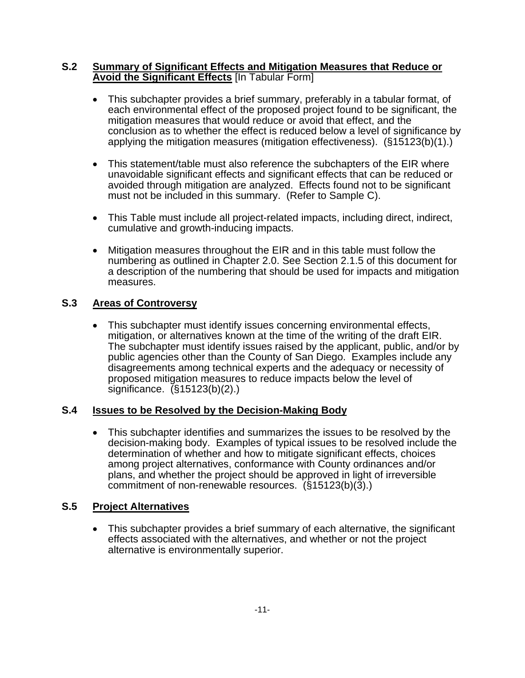#### **S.2 Summary of Significant Effects and Mitigation Measures that Reduce or Avoid the Significant Effects** [In Tabular Form]

- This subchapter provides a brief summary, preferably in a tabular format, of each environmental effect of the proposed project found to be significant, the mitigation measures that would reduce or avoid that effect, and the conclusion as to whether the effect is reduced below a level of significance by applying the mitigation measures (mitigation effectiveness). (§15123(b)(1).)
- This statement/table must also reference the subchapters of the EIR where unavoidable significant effects and significant effects that can be reduced or avoided through mitigation are analyzed. Effects found not to be significant must not be included in this summary. (Refer to Sample C).
- This Table must include all project-related impacts, including direct, indirect, cumulative and growth-inducing impacts.
- Mitigation measures throughout the EIR and in this table must follow the numbering as outlined in Chapter 2.0. See Section 2.1.5 of this document for a description of the numbering that should be used for impacts and mitigation measures.

### **S.3 Areas of Controversy**

• This subchapter must identify issues concerning environmental effects, mitigation, or alternatives known at the time of the writing of the draft EIR. The subchapter must identify issues raised by the applicant, public, and/or by public agencies other than the County of San Diego. Examples include any disagreements among technical experts and the adequacy or necessity of proposed mitigation measures to reduce impacts below the level of significance.  $(S15123(b)(2))$ 

#### **S.4 Issues to be Resolved by the Decision-Making Body**

• This subchapter identifies and summarizes the issues to be resolved by the decision-making body. Examples of typical issues to be resolved include the determination of whether and how to mitigate significant effects, choices among project alternatives, conformance with County ordinances and/or plans, and whether the project should be approved in light of irreversible commitment of non-renewable resources. (§15123(b)(3).)

#### **S.5 Project Alternatives**

• This subchapter provides a brief summary of each alternative, the significant effects associated with the alternatives, and whether or not the project alternative is environmentally superior.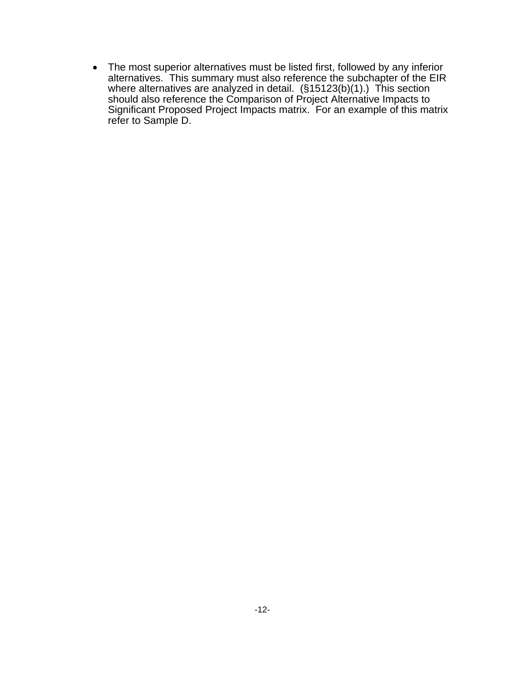• The most superior alternatives must be listed first, followed by any inferior alternatives. This summary must also reference the subchapter of the EIR where alternatives are analyzed in detail. (§15123(b)(1).) This section should also reference the Comparison of Project Alternative Impacts to Significant Proposed Project Impacts matrix. For an example of this matrix refer to Sample D.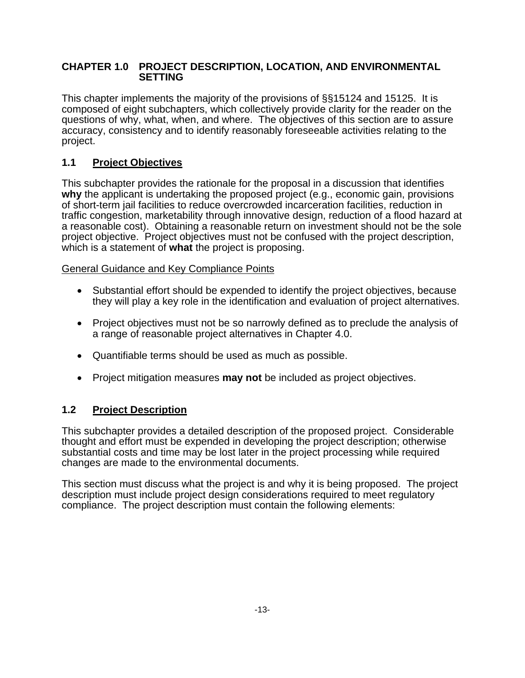#### **CHAPTER 1.0 PROJECT DESCRIPTION, LOCATION, AND ENVIRONMENTAL SETTING**

This chapter implements the majority of the provisions of §§15124 and 15125. It is composed of eight subchapters, which collectively provide clarity for the reader on the questions of why, what, when, and where. The objectives of this section are to assure accuracy, consistency and to identify reasonably foreseeable activities relating to the project.

#### **1.1 Project Objectives**

This subchapter provides the rationale for the proposal in a discussion that identifies **why** the applicant is undertaking the proposed project (e.g., economic gain, provisions of short-term jail facilities to reduce overcrowded incarceration facilities, reduction in traffic congestion, marketability through innovative design, reduction of a flood hazard at a reasonable cost). Obtaining a reasonable return on investment should not be the sole project objective. Project objectives must not be confused with the project description, which is a statement of **what** the project is proposing.

#### General Guidance and Key Compliance Points

- Substantial effort should be expended to identify the project objectives, because they will play a key role in the identification and evaluation of project alternatives.
- Project objectives must not be so narrowly defined as to preclude the analysis of a range of reasonable project alternatives in Chapter 4.0.
- Quantifiable terms should be used as much as possible.
- Project mitigation measures **may not** be included as project objectives.

#### **1.2 Project Description**

This subchapter provides a detailed description of the proposed project. Considerable thought and effort must be expended in developing the project description; otherwise substantial costs and time may be lost later in the project processing while required changes are made to the environmental documents.

This section must discuss what the project is and why it is being proposed. The project description must include project design considerations required to meet regulatory compliance. The project description must contain the following elements: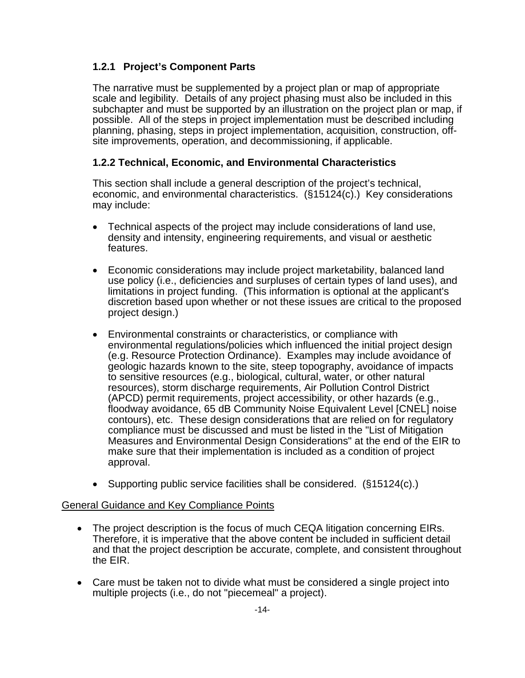### **1.2.1 Project's Component Parts**

The narrative must be supplemented by a project plan or map of appropriate scale and legibility. Details of any project phasing must also be included in this subchapter and must be supported by an illustration on the project plan or map, if possible. All of the steps in project implementation must be described including planning, phasing, steps in project implementation, acquisition, construction, offsite improvements, operation, and decommissioning, if applicable.

#### **1.2.2 Technical, Economic, and Environmental Characteristics**

This section shall include a general description of the project's technical, economic, and environmental characteristics. (§15124(c).) Key considerations may include:

- Technical aspects of the project may include considerations of land use, density and intensity, engineering requirements, and visual or aesthetic features.
- Economic considerations may include project marketability, balanced land use policy (i.e., deficiencies and surpluses of certain types of land uses), and limitations in project funding. (This information is optional at the applicant's discretion based upon whether or not these issues are critical to the proposed project design.)
- Environmental constraints or characteristics, or compliance with environmental regulations/policies which influenced the initial project design (e.g. Resource Protection Ordinance). Examples may include avoidance of geologic hazards known to the site, steep topography, avoidance of impacts to sensitive resources (e.g., biological, cultural, water, or other natural resources), storm discharge requirements, Air Pollution Control District (APCD) permit requirements, project accessibility, or other hazards (e.g., floodway avoidance, 65 dB Community Noise Equivalent Level [CNEL] noise contours), etc. These design considerations that are relied on for regulatory compliance must be discussed and must be listed in the "List of Mitigation Measures and Environmental Design Considerations" at the end of the EIR to make sure that their implementation is included as a condition of project approval.
- Supporting public service facilities shall be considered. (§15124(c).)

#### General Guidance and Key Compliance Points

- The project description is the focus of much CEQA litigation concerning EIRs. Therefore, it is imperative that the above content be included in sufficient detail and that the project description be accurate, complete, and consistent throughout the EIR.
- Care must be taken not to divide what must be considered a single project into multiple projects (i.e., do not "piecemeal" a project).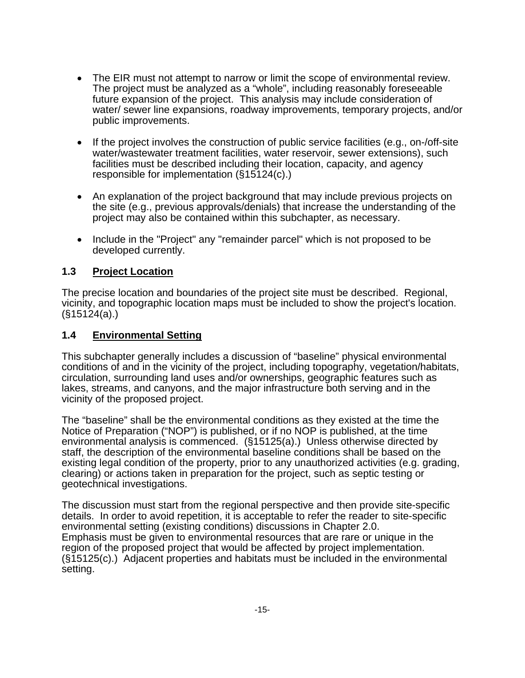- The EIR must not attempt to narrow or limit the scope of environmental review. The project must be analyzed as a "whole", including reasonably foreseeable future expansion of the project. This analysis may include consideration of water/ sewer line expansions, roadway improvements, temporary projects, and/or public improvements.
- If the project involves the construction of public service facilities (e.g., on-/off-site water/wastewater treatment facilities, water reservoir, sewer extensions), such facilities must be described including their location, capacity, and agency responsible for implementation (§15124(c).)
- An explanation of the project background that may include previous projects on the site (e.g., previous approvals/denials) that increase the understanding of the project may also be contained within this subchapter, as necessary.
- Include in the "Project" any "remainder parcel" which is not proposed to be developed currently.

#### **1.3 Project Location**

The precise location and boundaries of the project site must be described. Regional, vicinity, and topographic location maps must be included to show the project's location. (§15124(a).)

#### **1.4 Environmental Setting**

This subchapter generally includes a discussion of "baseline" physical environmental conditions of and in the vicinity of the project, including topography, vegetation/habitats, circulation, surrounding land uses and/or ownerships, geographic features such as lakes, streams, and canyons, and the major infrastructure both serving and in the vicinity of the proposed project.

The "baseline" shall be the environmental conditions as they existed at the time the Notice of Preparation ("NOP") is published, or if no NOP is published, at the time environmental analysis is commenced. (§15125(a).) Unless otherwise directed by staff, the description of the environmental baseline conditions shall be based on the existing legal condition of the property, prior to any unauthorized activities (e.g. grading, clearing) or actions taken in preparation for the project, such as septic testing or geotechnical investigations.

The discussion must start from the regional perspective and then provide site-specific details. In order to avoid repetition, it is acceptable to refer the reader to site-specific environmental setting (existing conditions) discussions in Chapter 2.0. Emphasis must be given to environmental resources that are rare or unique in the region of the proposed project that would be affected by project implementation. (§15125(c).) Adjacent properties and habitats must be included in the environmental setting.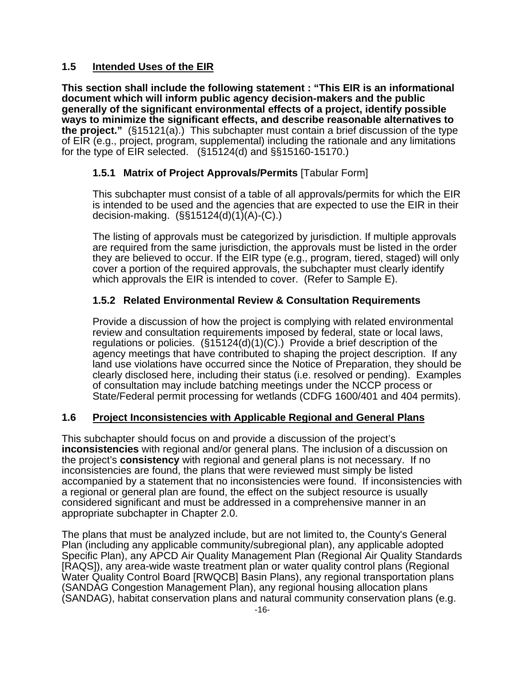#### **1.5 Intended Uses of the EIR**

**This section shall include the following statement : "This EIR is an informational document which will inform public agency decision-makers and the public generally of the significant environmental effects of a project, identify possible ways to minimize the significant effects, and describe reasonable alternatives to the project."** (§15121(a).) This subchapter must contain a brief discussion of the type of EIR (e.g., project, program, supplemental) including the rationale and any limitations for the type of EIR selected. (§15124(d) and §§15160-15170.)

#### **1.5.1 Matrix of Project Approvals/Permits** [Tabular Form]

This subchapter must consist of a table of all approvals/permits for which the EIR is intended to be used and the agencies that are expected to use the EIR in their decision-making. (§§15124(d)(1)(A)-(C).)

The listing of approvals must be categorized by jurisdiction. If multiple approvals are required from the same jurisdiction, the approvals must be listed in the order they are believed to occur. If the EIR type (e.g., program, tiered, staged) will only cover a portion of the required approvals, the subchapter must clearly identify which approvals the EIR is intended to cover. (Refer to Sample E).

#### **1.5.2 Related Environmental Review & Consultation Requirements**

Provide a discussion of how the project is complying with related environmental review and consultation requirements imposed by federal, state or local laws, regulations or policies. (§15124(d)(1)(C).) Provide a brief description of the agency meetings that have contributed to shaping the project description. If any land use violations have occurred since the Notice of Preparation, they should be clearly disclosed here, including their status (i.e. resolved or pending). Examples of consultation may include batching meetings under the NCCP process or State/Federal permit processing for wetlands (CDFG 1600/401 and 404 permits).

#### **1.6 Project Inconsistencies with Applicable Regional and General Plans**

This subchapter should focus on and provide a discussion of the project's **inconsistencies** with regional and/or general plans. The inclusion of a discussion on the project's **consistency** with regional and general plans is not necessary. If no inconsistencies are found, the plans that were reviewed must simply be listed accompanied by a statement that no inconsistencies were found. If inconsistencies with a regional or general plan are found, the effect on the subject resource is usually considered significant and must be addressed in a comprehensive manner in an appropriate subchapter in Chapter 2.0.

The plans that must be analyzed include, but are not limited to, the County's General Plan (including any applicable community/subregional plan), any applicable adopted Specific Plan), any APCD Air Quality Management Plan (Regional Air Quality Standards [RAQS]), any area-wide waste treatment plan or water quality control plans (Regional Water Quality Control Board [RWQCB] Basin Plans), any regional transportation plans (SANDAG Congestion Management Plan), any regional housing allocation plans (SANDAG), habitat conservation plans and natural community conservation plans (e.g.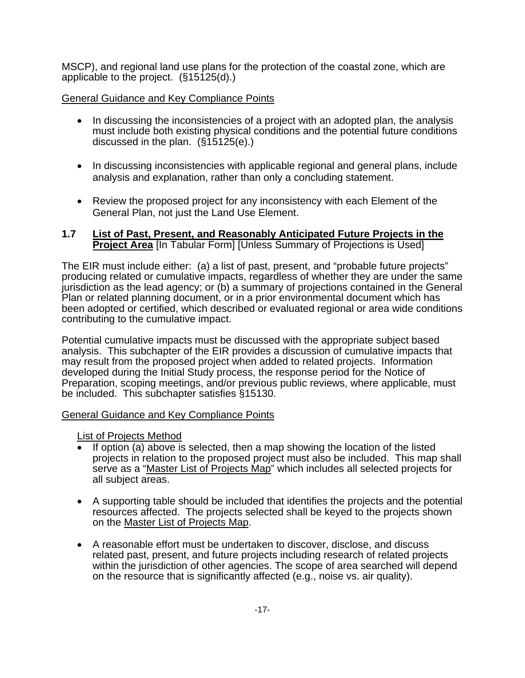MSCP), and regional land use plans for the protection of the coastal zone, which are applicable to the project. (§15125(d).)

#### General Guidance and Key Compliance Points

- In discussing the inconsistencies of a project with an adopted plan, the analysis must include both existing physical conditions and the potential future conditions discussed in the plan.  $(\S15125(e))$ .
- In discussing inconsistencies with applicable regional and general plans, include analysis and explanation, rather than only a concluding statement.
- Review the proposed project for any inconsistency with each Element of the General Plan, not just the Land Use Element.

#### **1.7 List of Past, Present, and Reasonably Anticipated Future Projects in the Project Area** [In Tabular Form] [Unless Summary of Projections is Used]

The EIR must include either: (a) a list of past, present, and "probable future projects" producing related or cumulative impacts, regardless of whether they are under the same jurisdiction as the lead agency; or (b) a summary of projections contained in the General Plan or related planning document, or in a prior environmental document which has been adopted or certified, which described or evaluated regional or area wide conditions contributing to the cumulative impact.

Potential cumulative impacts must be discussed with the appropriate subject based analysis. This subchapter of the EIR provides a discussion of cumulative impacts that may result from the proposed project when added to related projects. Information developed during the Initial Study process, the response period for the Notice of Preparation, scoping meetings, and/or previous public reviews, where applicable, must be included. This subchapter satisfies §15130.

#### General Guidance and Key Compliance Points

List of Projects Method

- If option (a) above is selected, then a map showing the location of the listed projects in relation to the proposed project must also be included. This map shall serve as a "Master List of Projects Map" which includes all selected projects for all subject areas.
- A supporting table should be included that identifies the projects and the potential resources affected. The projects selected shall be keyed to the projects shown on the Master List of Projects Map.
- A reasonable effort must be undertaken to discover, disclose, and discuss related past, present, and future projects including research of related projects within the jurisdiction of other agencies. The scope of area searched will depend on the resource that is significantly affected (e.g., noise vs. air quality).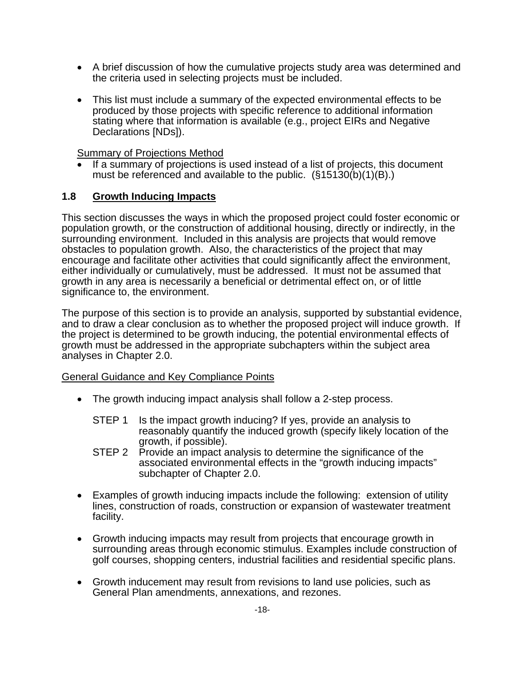- A brief discussion of how the cumulative projects study area was determined and the criteria used in selecting projects must be included.
- This list must include a summary of the expected environmental effects to be produced by those projects with specific reference to additional information stating where that information is available (e.g., project EIRs and Negative Declarations [NDs]).

Summary of Projections Method

If a summary of projections is used instead of a list of projects, this document must be referenced and available to the public. (§15130(b)(1)(B).)

#### **1.8 Growth Inducing Impacts**

This section discusses the ways in which the proposed project could foster economic or population growth, or the construction of additional housing, directly or indirectly, in the surrounding environment. Included in this analysis are projects that would remove obstacles to population growth. Also, the characteristics of the project that may encourage and facilitate other activities that could significantly affect the environment, either individually or cumulatively, must be addressed. It must not be assumed that growth in any area is necessarily a beneficial or detrimental effect on, or of little significance to, the environment.

The purpose of this section is to provide an analysis, supported by substantial evidence, and to draw a clear conclusion as to whether the proposed project will induce growth. If the project is determined to be growth inducing, the potential environmental effects of growth must be addressed in the appropriate subchapters within the subject area analyses in Chapter 2.0.

#### General Guidance and Key Compliance Points

- The growth inducing impact analysis shall follow a 2-step process.
	- STEP 1 Is the impact growth inducing? If yes, provide an analysis to reasonably quantify the induced growth (specify likely location of the growth, if possible).
	- STEP 2 Provide an impact analysis to determine the significance of the associated environmental effects in the "growth inducing impacts" subchapter of Chapter 2.0.
- Examples of growth inducing impacts include the following: extension of utility lines, construction of roads, construction or expansion of wastewater treatment facility.
- Growth inducing impacts may result from projects that encourage growth in surrounding areas through economic stimulus. Examples include construction of golf courses, shopping centers, industrial facilities and residential specific plans.
- Growth inducement may result from revisions to land use policies, such as General Plan amendments, annexations, and rezones.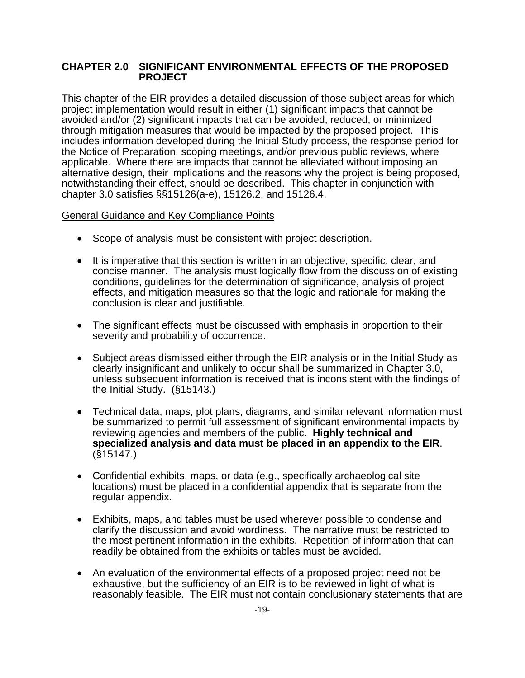#### **CHAPTER 2.0 SIGNIFICANT ENVIRONMENTAL EFFECTS OF THE PROPOSED PROJECT**

This chapter of the EIR provides a detailed discussion of those subject areas for which project implementation would result in either (1) significant impacts that cannot be avoided and/or (2) significant impacts that can be avoided, reduced, or minimized through mitigation measures that would be impacted by the proposed project. This includes information developed during the Initial Study process, the response period for the Notice of Preparation, scoping meetings, and/or previous public reviews, where applicable. Where there are impacts that cannot be alleviated without imposing an alternative design, their implications and the reasons why the project is being proposed, notwithstanding their effect, should be described. This chapter in conjunction with chapter 3.0 satisfies §§15126(a-e), 15126.2, and 15126.4.

#### General Guidance and Key Compliance Points

- Scope of analysis must be consistent with project description.
- It is imperative that this section is written in an objective, specific, clear, and concise manner. The analysis must logically flow from the discussion of existing conditions, guidelines for the determination of significance, analysis of project effects, and mitigation measures so that the logic and rationale for making the conclusion is clear and justifiable.
- The significant effects must be discussed with emphasis in proportion to their severity and probability of occurrence.
- Subject areas dismissed either through the EIR analysis or in the Initial Study as clearly insignificant and unlikely to occur shall be summarized in Chapter 3.0, unless subsequent information is received that is inconsistent with the findings of the Initial Study. (§15143.)
- Technical data, maps, plot plans, diagrams, and similar relevant information must be summarized to permit full assessment of significant environmental impacts by reviewing agencies and members of the public. **Highly technical and specialized analysis and data must be placed in an appendix to the EIR**. (§15147.)
- Confidential exhibits, maps, or data (e.g., specifically archaeological site locations) must be placed in a confidential appendix that is separate from the regular appendix.
- Exhibits, maps, and tables must be used wherever possible to condense and clarify the discussion and avoid wordiness. The narrative must be restricted to the most pertinent information in the exhibits. Repetition of information that can readily be obtained from the exhibits or tables must be avoided.
- An evaluation of the environmental effects of a proposed project need not be exhaustive, but the sufficiency of an EIR is to be reviewed in light of what is reasonably feasible. The EIR must not contain conclusionary statements that are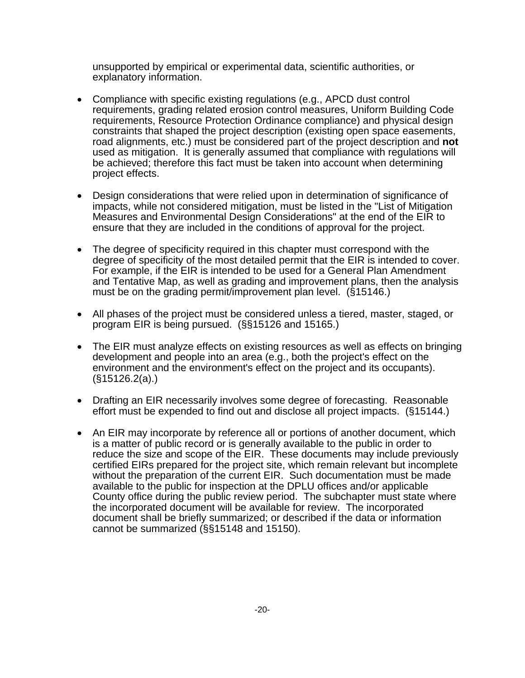unsupported by empirical or experimental data, scientific authorities, or explanatory information.

- Compliance with specific existing regulations (e.g., APCD dust control requirements, grading related erosion control measures, Uniform Building Code requirements, Resource Protection Ordinance compliance) and physical design constraints that shaped the project description (existing open space easements, road alignments, etc.) must be considered part of the project description and **not** used as mitigation. It is generally assumed that compliance with regulations will be achieved; therefore this fact must be taken into account when determining project effects.
- Design considerations that were relied upon in determination of significance of impacts, while not considered mitigation, must be listed in the "List of Mitigation Measures and Environmental Design Considerations" at the end of the EIR to ensure that they are included in the conditions of approval for the project.
- The degree of specificity required in this chapter must correspond with the degree of specificity of the most detailed permit that the EIR is intended to cover. For example, if the EIR is intended to be used for a General Plan Amendment and Tentative Map, as well as grading and improvement plans, then the analysis must be on the grading permit/improvement plan level. (§15146.)
- All phases of the project must be considered unless a tiered, master, staged, or program EIR is being pursued. (§§15126 and 15165.)
- The EIR must analyze effects on existing resources as well as effects on bringing development and people into an area (e.g., both the project's effect on the environment and the environment's effect on the project and its occupants). (§15126.2(a).)
- Drafting an EIR necessarily involves some degree of forecasting. Reasonable effort must be expended to find out and disclose all project impacts. (§15144.)
- An EIR may incorporate by reference all or portions of another document, which is a matter of public record or is generally available to the public in order to reduce the size and scope of the EIR. These documents may include previously certified EIRs prepared for the project site, which remain relevant but incomplete without the preparation of the current EIR. Such documentation must be made available to the public for inspection at the DPLU offices and/or applicable County office during the public review period. The subchapter must state where the incorporated document will be available for review. The incorporated document shall be briefly summarized; or described if the data or information cannot be summarized (§§15148 and 15150).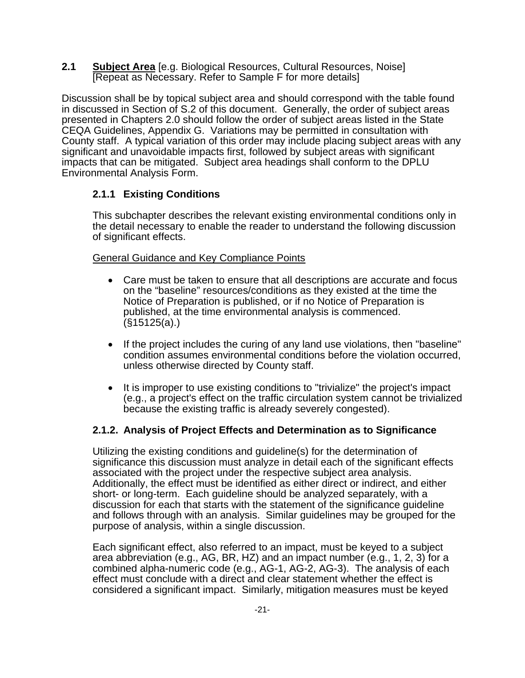**2.1 Subject Area** [e.g. Biological Resources, Cultural Resources, Noise] [Repeat as Necessary. Refer to Sample F for more details]

Discussion shall be by topical subject area and should correspond with the table found in discussed in Section of S.2 of this document. Generally, the order of subject areas presented in Chapters 2.0 should follow the order of subject areas listed in the State CEQA Guidelines, Appendix G. Variations may be permitted in consultation with County staff. A typical variation of this order may include placing subject areas with any significant and unavoidable impacts first, followed by subject areas with significant impacts that can be mitigated. Subject area headings shall conform to the DPLU Environmental Analysis Form.

### **2.1.1 Existing Conditions**

This subchapter describes the relevant existing environmental conditions only in the detail necessary to enable the reader to understand the following discussion of significant effects.

#### General Guidance and Key Compliance Points

- Care must be taken to ensure that all descriptions are accurate and focus on the "baseline" resources/conditions as they existed at the time the Notice of Preparation is published, or if no Notice of Preparation is published, at the time environmental analysis is commenced. (§15125(a).)
- If the project includes the curing of any land use violations, then "baseline" condition assumes environmental conditions before the violation occurred, unless otherwise directed by County staff.
- It is improper to use existing conditions to "trivialize" the project's impact (e.g., a project's effect on the traffic circulation system cannot be trivialized because the existing traffic is already severely congested).

### **2.1.2. Analysis of Project Effects and Determination as to Significance**

Utilizing the existing conditions and guideline(s) for the determination of significance this discussion must analyze in detail each of the significant effects associated with the project under the respective subject area analysis. Additionally, the effect must be identified as either direct or indirect, and either short- or long-term. Each guideline should be analyzed separately, with a discussion for each that starts with the statement of the significance guideline and follows through with an analysis. Similar guidelines may be grouped for the purpose of analysis, within a single discussion.

Each significant effect, also referred to an impact, must be keyed to a subject area abbreviation (e.g., AG, BR, HZ) and an impact number (e.g., 1, 2, 3) for a combined alpha-numeric code (e.g., AG-1, AG-2, AG-3). The analysis of each effect must conclude with a direct and clear statement whether the effect is considered a significant impact. Similarly, mitigation measures must be keyed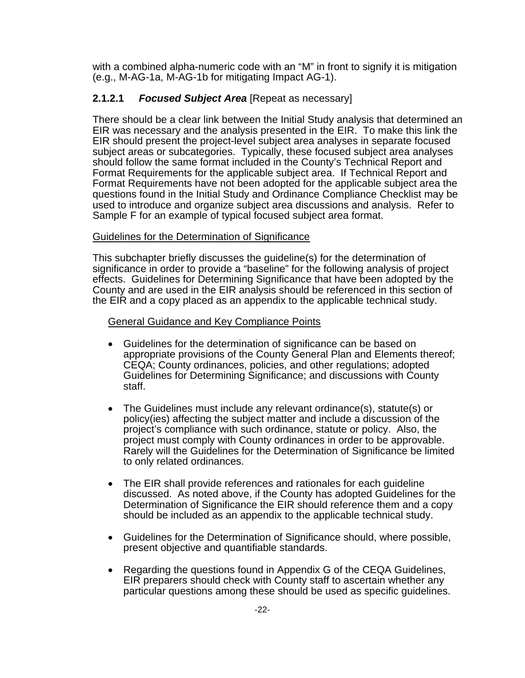with a combined alpha-numeric code with an "M" in front to signify it is mitigation (e.g., M-AG-1a, M-AG-1b for mitigating Impact AG-1).

#### **2.1.2.1** *Focused Subject Area* [Repeat as necessary]

There should be a clear link between the Initial Study analysis that determined an EIR was necessary and the analysis presented in the EIR. To make this link the EIR should present the project-level subject area analyses in separate focused subject areas or subcategories. Typically, these focused subject area analyses should follow the same format included in the County's Technical Report and Format Requirements for the applicable subject area. If Technical Report and Format Requirements have not been adopted for the applicable subject area the questions found in the Initial Study and Ordinance Compliance Checklist may be used to introduce and organize subject area discussions and analysis. Refer to Sample F for an example of typical focused subject area format.

#### Guidelines for the Determination of Significance

This subchapter briefly discusses the guideline(s) for the determination of significance in order to provide a "baseline" for the following analysis of project effects. Guidelines for Determining Significance that have been adopted by the County and are used in the EIR analysis should be referenced in this section of the EIR and a copy placed as an appendix to the applicable technical study.

#### General Guidance and Key Compliance Points

- Guidelines for the determination of significance can be based on appropriate provisions of the County General Plan and Elements thereof; CEQA; County ordinances, policies, and other regulations; adopted Guidelines for Determining Significance; and discussions with County staff.
- The Guidelines must include any relevant ordinance(s), statute(s) or policy(ies) affecting the subject matter and include a discussion of the project's compliance with such ordinance, statute or policy. Also, the project must comply with County ordinances in order to be approvable. Rarely will the Guidelines for the Determination of Significance be limited to only related ordinances.
- The EIR shall provide references and rationales for each guideline discussed. As noted above, if the County has adopted Guidelines for the Determination of Significance the EIR should reference them and a copy should be included as an appendix to the applicable technical study.
- Guidelines for the Determination of Significance should, where possible, present objective and quantifiable standards.
- Regarding the questions found in Appendix G of the CEQA Guidelines, EIR preparers should check with County staff to ascertain whether any particular questions among these should be used as specific guidelines.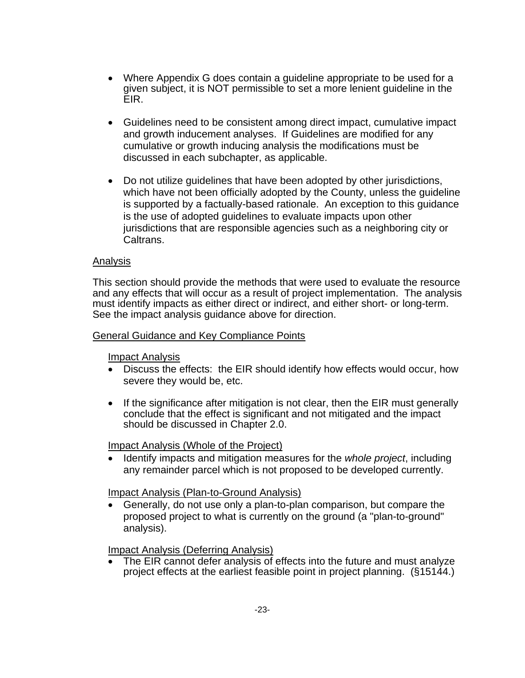- Where Appendix G does contain a guideline appropriate to be used for a given subject, it is NOT permissible to set a more lenient guideline in the EIR.
- Guidelines need to be consistent among direct impact, cumulative impact and growth inducement analyses. If Guidelines are modified for any cumulative or growth inducing analysis the modifications must be discussed in each subchapter, as applicable.
- Do not utilize guidelines that have been adopted by other jurisdictions, which have not been officially adopted by the County, unless the guideline is supported by a factually-based rationale. An exception to this guidance is the use of adopted guidelines to evaluate impacts upon other jurisdictions that are responsible agencies such as a neighboring city or Caltrans.

#### Analysis

This section should provide the methods that were used to evaluate the resource and any effects that will occur as a result of project implementation. The analysis must identify impacts as either direct or indirect, and either short- or long-term. See the impact analysis guidance above for direction.

#### General Guidance and Key Compliance Points

Impact Analysis

- Discuss the effects: the EIR should identify how effects would occur, how severe they would be, etc.
- If the significance after mitigation is not clear, then the EIR must generally conclude that the effect is significant and not mitigated and the impact should be discussed in Chapter 2.0.

Impact Analysis (Whole of the Project)

• Identify impacts and mitigation measures for the *whole project*, including any remainder parcel which is not proposed to be developed currently.

Impact Analysis (Plan-to-Ground Analysis)

• Generally, do not use only a plan-to-plan comparison, but compare the proposed project to what is currently on the ground (a "plan-to-ground" analysis).

Impact Analysis (Deferring Analysis)

The EIR cannot defer analysis of effects into the future and must analyze project effects at the earliest feasible point in project planning. (§15144.)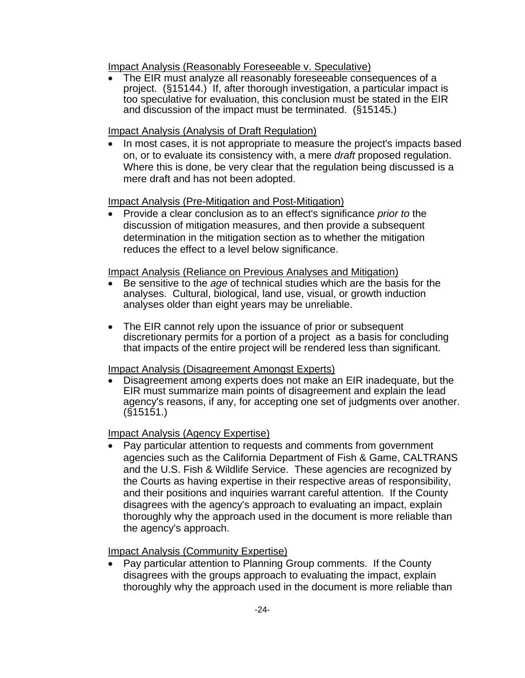Impact Analysis (Reasonably Foreseeable v. Speculative)

• The EIR must analyze all reasonably foreseeable consequences of a project. (§15144.) If, after thorough investigation, a particular impact is too speculative for evaluation, this conclusion must be stated in the EIR and discussion of the impact must be terminated. (§15145.)

#### Impact Analysis (Analysis of Draft Regulation)

• In most cases, it is not appropriate to measure the project's impacts based on, or to evaluate its consistency with, a mere *draft* proposed regulation. Where this is done, be very clear that the regulation being discussed is a mere draft and has not been adopted.

#### Impact Analysis (Pre-Mitigation and Post-Mitigation)

• Provide a clear conclusion as to an effect's significance *prior to* the discussion of mitigation measures, and then provide a subsequent determination in the mitigation section as to whether the mitigation reduces the effect to a level below significance.

#### Impact Analysis (Reliance on Previous Analyses and Mitigation)

- Be sensitive to the *age* of technical studies which are the basis for the analyses. Cultural, biological, land use, visual, or growth induction analyses older than eight years may be unreliable.
- The EIR cannot rely upon the issuance of prior or subsequent discretionary permits for a portion of a project as a basis for concluding that impacts of the entire project will be rendered less than significant.

#### Impact Analysis (Disagreement Amongst Experts)

• Disagreement among experts does not make an EIR inadequate, but the EIR must summarize main points of disagreement and explain the lead agency's reasons, if any, for accepting one set of judgments over another.  $(S$ <sup>15151.)</sup>

#### Impact Analysis (Agency Expertise)

• Pay particular attention to requests and comments from government agencies such as the California Department of Fish & Game, CALTRANS and the U.S. Fish & Wildlife Service. These agencies are recognized by the Courts as having expertise in their respective areas of responsibility, and their positions and inquiries warrant careful attention. If the County disagrees with the agency's approach to evaluating an impact, explain thoroughly why the approach used in the document is more reliable than the agency's approach.

Impact Analysis (Community Expertise)

• Pay particular attention to Planning Group comments. If the County disagrees with the groups approach to evaluating the impact, explain thoroughly why the approach used in the document is more reliable than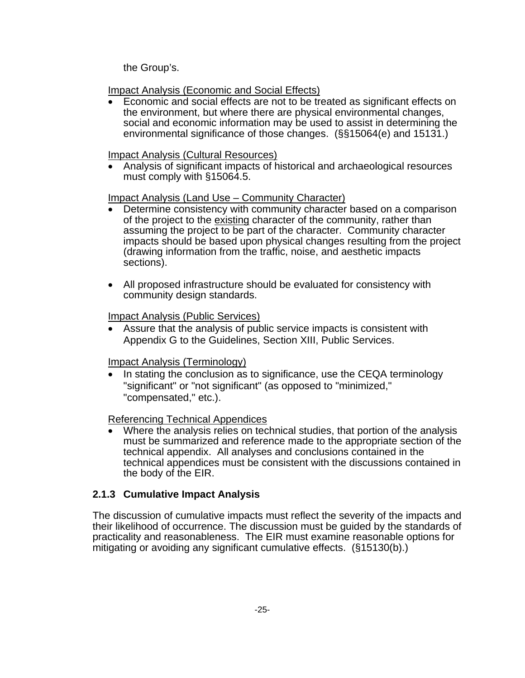the Group's.

Impact Analysis (Economic and Social Effects)

• Economic and social effects are not to be treated as significant effects on the environment, but where there are physical environmental changes, social and economic information may be used to assist in determining the environmental significance of those changes. (§§15064(e) and 15131.)

#### Impact Analysis (Cultural Resources)

• Analysis of significant impacts of historical and archaeological resources must comply with §15064.5.

### Impact Analysis (Land Use – Community Character)

- Determine consistency with community character based on a comparison of the project to the existing character of the community, rather than assuming the project to be part of the character. Community character impacts should be based upon physical changes resulting from the project (drawing information from the traffic, noise, and aesthetic impacts sections).
- All proposed infrastructure should be evaluated for consistency with community design standards.

#### Impact Analysis (Public Services)

• Assure that the analysis of public service impacts is consistent with Appendix G to the Guidelines, Section XIII, Public Services.

#### Impact Analysis (Terminology)

• In stating the conclusion as to significance, use the CEQA terminology "significant" or "not significant" (as opposed to "minimized," "compensated," etc.).

#### Referencing Technical Appendices

• Where the analysis relies on technical studies, that portion of the analysis must be summarized and reference made to the appropriate section of the technical appendix. All analyses and conclusions contained in the technical appendices must be consistent with the discussions contained in the body of the EIR.

#### **2.1.3 Cumulative Impact Analysis**

The discussion of cumulative impacts must reflect the severity of the impacts and their likelihood of occurrence. The discussion must be guided by the standards of practicality and reasonableness. The EIR must examine reasonable options for mitigating or avoiding any significant cumulative effects. (§15130(b).)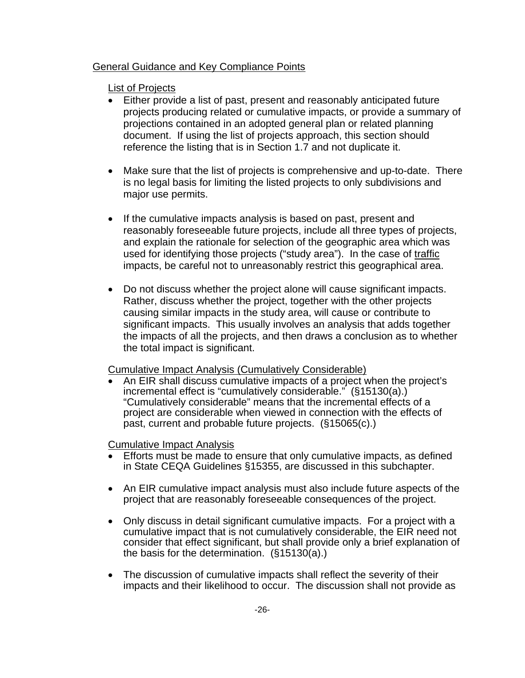#### General Guidance and Key Compliance Points

#### List of Projects

- Either provide a list of past, present and reasonably anticipated future projects producing related or cumulative impacts, or provide a summary of projections contained in an adopted general plan or related planning document. If using the list of projects approach, this section should reference the listing that is in Section 1.7 and not duplicate it.
- Make sure that the list of projects is comprehensive and up-to-date. There is no legal basis for limiting the listed projects to only subdivisions and major use permits.
- If the cumulative impacts analysis is based on past, present and reasonably foreseeable future projects, include all three types of projects, and explain the rationale for selection of the geographic area which was used for identifying those projects ("study area"). In the case of traffic impacts, be careful not to unreasonably restrict this geographical area.
- Do not discuss whether the project alone will cause significant impacts. Rather, discuss whether the project, together with the other projects causing similar impacts in the study area, will cause or contribute to significant impacts. This usually involves an analysis that adds together the impacts of all the projects, and then draws a conclusion as to whether the total impact is significant.

#### Cumulative Impact Analysis (Cumulatively Considerable)

• An EIR shall discuss cumulative impacts of a project when the project's incremental effect is "cumulatively considerable." (§15130(a).) "Cumulatively considerable" means that the incremental effects of a project are considerable when viewed in connection with the effects of past, current and probable future projects. (§15065(c).)

#### Cumulative Impact Analysis

- Efforts must be made to ensure that only cumulative impacts, as defined in State CEQA Guidelines §15355, are discussed in this subchapter.
- An EIR cumulative impact analysis must also include future aspects of the project that are reasonably foreseeable consequences of the project.
- Only discuss in detail significant cumulative impacts. For a project with a cumulative impact that is not cumulatively considerable, the EIR need not consider that effect significant, but shall provide only a brief explanation of the basis for the determination. (§15130(a).)
- The discussion of cumulative impacts shall reflect the severity of their impacts and their likelihood to occur. The discussion shall not provide as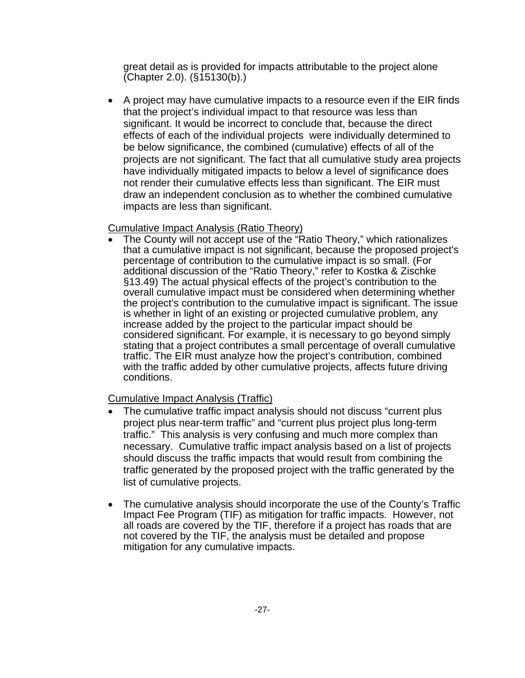great detail as is provided for impacts attributable to the project alone (Chapter 2.0). (§15130(b).)

• A project may have cumulative impacts to a resource even if the EIR finds that the project's individual impact to that resource was less than significant. It would be incorrect to conclude that, because the direct effects of each of the individual projects were individually determined to be below significance, the combined (cumulative) effects of all of the projects are not significant. The fact that all cumulative study area projects have individually mitigated impacts to below a level of significance does not render their cumulative effects less than significant. The EIR must draw an independent conclusion as to whether the combined cumulative impacts are less than significant.

#### Cumulative Impact Analysis (Ratio Theory)

• The County will not accept use of the "Ratio Theory," which rationalizes that a cumulative impact is not significant, because the proposed project's percentage of contribution to the cumulative impact is so small. (For additional discussion of the "Ratio Theory," refer to Kostka & Zischke §13.49) The actual physical effects of the project's contribution to the overall cumulative impact must be considered when determining whether the project's contribution to the cumulative impact is significant. The issue is whether in light of an existing or projected cumulative problem, any increase added by the project to the particular impact should be considered significant. For example, it is necessary to go beyond simply stating that a project contributes a small percentage of overall cumulative traffic. The EIR must analyze how the project's contribution, combined with the traffic added by other cumulative projects, affects future driving conditions.

#### Cumulative Impact Analysis (Traffic)

- The cumulative traffic impact analysis should not discuss "current plus project plus near-term traffic" and "current plus project plus long-term traffic." This analysis is very confusing and much more complex than necessary. Cumulative traffic impact analysis based on a list of projects should discuss the traffic impacts that would result from combining the traffic generated by the proposed project with the traffic generated by the list of cumulative projects.
- The cumulative analysis should incorporate the use of the County's Traffic Impact Fee Program (TIF) as mitigation for traffic impacts. However, not all roads are covered by the TIF, therefore if a project has roads that are not covered by the TIF, the analysis must be detailed and propose mitigation for any cumulative impacts.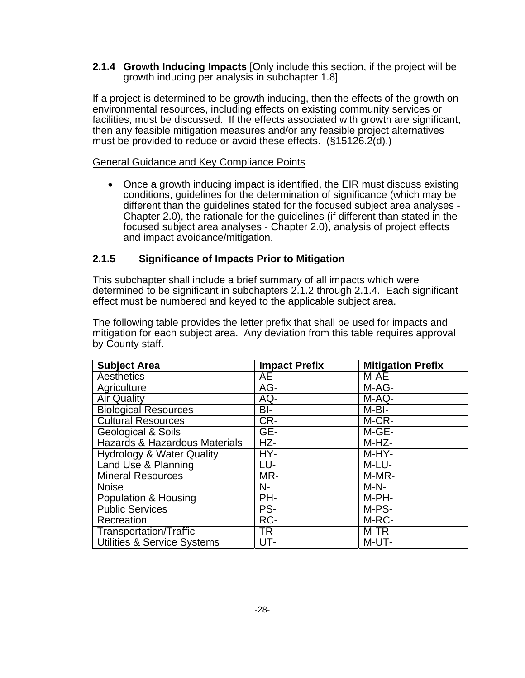**2.1.4 Growth Inducing Impacts** [Only include this section, if the project will be growth inducing per analysis in subchapter 1.8]

If a project is determined to be growth inducing, then the effects of the growth on environmental resources, including effects on existing community services or facilities, must be discussed. If the effects associated with growth are significant, then any feasible mitigation measures and/or any feasible project alternatives must be provided to reduce or avoid these effects. (§15126.2(d).)

#### General Guidance and Key Compliance Points

• Once a growth inducing impact is identified, the EIR must discuss existing conditions, guidelines for the determination of significance (which may be different than the guidelines stated for the focused subject area analyses - Chapter 2.0), the rationale for the guidelines (if different than stated in the focused subject area analyses - Chapter 2.0), analysis of project effects and impact avoidance/mitigation.

#### **2.1.5 Significance of Impacts Prior to Mitigation**

This subchapter shall include a brief summary of all impacts which were determined to be significant in subchapters 2.1.2 through 2.1.4. Each significant effect must be numbered and keyed to the applicable subject area.

The following table provides the letter prefix that shall be used for impacts and mitigation for each subject area. Any deviation from this table requires approval by County staff.

| <b>Subject Area</b>                    | <b>Impact Prefix</b> | <b>Mitigation Prefix</b>     |
|----------------------------------------|----------------------|------------------------------|
| Aesthetics                             | AE-                  | M-AE-                        |
| Agriculture                            | AG-                  | M-AG-                        |
| <b>Air Quality</b>                     | AQ-                  | M-AQ-                        |
| <b>Biological Resources</b>            | BI-                  | M-BI-                        |
| <b>Cultural Resources</b>              | CR-                  | M-CR-                        |
| <b>Geological &amp; Soils</b>          | GE-                  | $M-GE-$                      |
| Hazards & Hazardous Materials          | $HZ-$                | M-HZ-                        |
| <b>Hydrology &amp; Water Quality</b>   | HY-                  | M-HY-                        |
| Land Use & Planning                    | LU-                  | M-LU-                        |
| <b>Mineral Resources</b>               | MR-                  | $\overline{\mathsf{M-MR}}$ - |
| <b>Noise</b>                           | $N-$                 | $M-N-$                       |
| Population & Housing                   | PH-                  | M-PH-                        |
| <b>Public Services</b>                 | PS-                  | M-PS-                        |
| Recreation                             | RC-                  | M-RC-                        |
| Transportation/Traffic                 | TR-                  | $M-TR-$                      |
| <b>Utilities &amp; Service Systems</b> | UT-                  | M-UT-                        |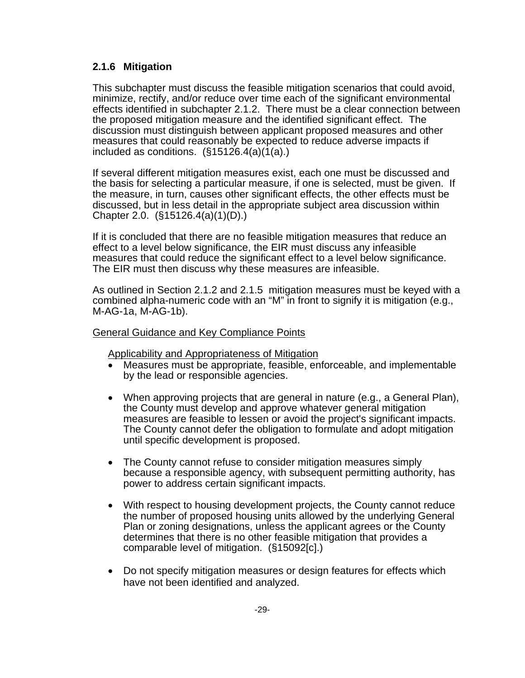#### **2.1.6 Mitigation**

This subchapter must discuss the feasible mitigation scenarios that could avoid, minimize, rectify, and/or reduce over time each of the significant environmental effects identified in subchapter 2.1.2. There must be a clear connection between the proposed mitigation measure and the identified significant effect. The discussion must distinguish between applicant proposed measures and other measures that could reasonably be expected to reduce adverse impacts if included as conditions. (§15126.4(a)(1(a).)

If several different mitigation measures exist, each one must be discussed and the basis for selecting a particular measure, if one is selected, must be given. If the measure, in turn, causes other significant effects, the other effects must be discussed, but in less detail in the appropriate subject area discussion within Chapter 2.0. (§15126.4(a)(1)(D).)

If it is concluded that there are no feasible mitigation measures that reduce an effect to a level below significance, the EIR must discuss any infeasible measures that could reduce the significant effect to a level below significance. The EIR must then discuss why these measures are infeasible.

As outlined in Section 2.1.2 and 2.1.5 mitigation measures must be keyed with a combined alpha-numeric code with an "M" in front to signify it is mitigation (e.g., M-AG-1a, M-AG-1b).

#### General Guidance and Key Compliance Points

Applicability and Appropriateness of Mitigation

- Measures must be appropriate, feasible, enforceable, and implementable by the lead or responsible agencies.
- When approving projects that are general in nature (e.g., a General Plan), the County must develop and approve whatever general mitigation measures are feasible to lessen or avoid the project's significant impacts. The County cannot defer the obligation to formulate and adopt mitigation until specific development is proposed.
- The County cannot refuse to consider mitigation measures simply because a responsible agency, with subsequent permitting authority, has power to address certain significant impacts.
- With respect to housing development projects, the County cannot reduce the number of proposed housing units allowed by the underlying General Plan or zoning designations, unless the applicant agrees or the County determines that there is no other feasible mitigation that provides a comparable level of mitigation. (§15092[c].)
- Do not specify mitigation measures or design features for effects which have not been identified and analyzed.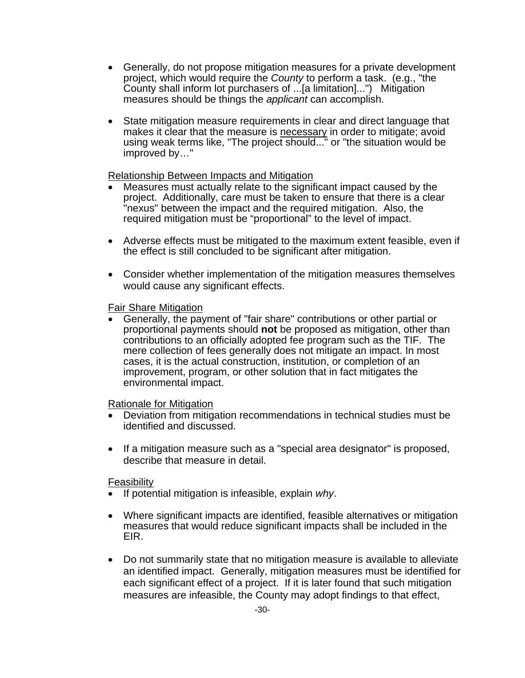- Generally, do not propose mitigation measures for a private development project, which would require the *County* to perform a task. (e.g., "the County shall inform lot purchasers of ...[a limitation]...") Mitigation measures should be things the *applicant* can accomplish.
- State mitigation measure requirements in clear and direct language that makes it clear that the measure is necessary in order to mitigate; avoid using weak terms like, "The project should..." or "the situation would be improved by…"

#### Relationship Between Impacts and Mitigation

- Measures must actually relate to the significant impact caused by the project. Additionally, care must be taken to ensure that there is a clear "nexus" between the impact and the required mitigation. Also, the required mitigation must be "proportional" to the level of impact.
- Adverse effects must be mitigated to the maximum extent feasible, even if the effect is still concluded to be significant after mitigation.
- Consider whether implementation of the mitigation measures themselves would cause any significant effects.

#### Fair Share Mitigation

• Generally, the payment of "fair share" contributions or other partial or proportional payments should **not** be proposed as mitigation, other than contributions to an officially adopted fee program such as the TIF. The mere collection of fees generally does not mitigate an impact. In most cases, it is the actual construction, institution, or completion of an improvement, program, or other solution that in fact mitigates the environmental impact.

#### Rationale for Mitigation

- Deviation from mitigation recommendations in technical studies must be identified and discussed.
- If a mitigation measure such as a "special area designator" is proposed, describe that measure in detail.

#### Feasibility

- If potential mitigation is infeasible, explain *why*.
- Where significant impacts are identified, feasible alternatives or mitigation measures that would reduce significant impacts shall be included in the EIR.
- Do not summarily state that no mitigation measure is available to alleviate an identified impact. Generally, mitigation measures must be identified for each significant effect of a project. If it is later found that such mitigation measures are infeasible, the County may adopt findings to that effect,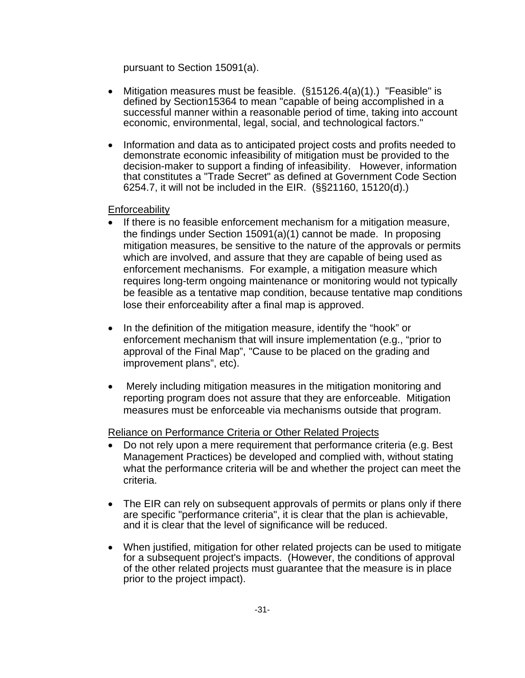pursuant to Section 15091(a).

- Mitigation measures must be feasible.  $(\S15126.4(a)(1))$  "Feasible" is defined by Section15364 to mean "capable of being accomplished in a successful manner within a reasonable period of time, taking into account economic, environmental, legal, social, and technological factors."
- Information and data as to anticipated project costs and profits needed to demonstrate economic infeasibility of mitigation must be provided to the decision-maker to support a finding of infeasibility. However, information that constitutes a "Trade Secret" as defined at Government Code Section 6254.7, it will not be included in the EIR. (§§21160, 15120(d).)

**Enforceability** 

- If there is no feasible enforcement mechanism for a mitigation measure, the findings under Section 15091(a)(1) cannot be made. In proposing mitigation measures, be sensitive to the nature of the approvals or permits which are involved, and assure that they are capable of being used as enforcement mechanisms. For example, a mitigation measure which requires long-term ongoing maintenance or monitoring would not typically be feasible as a tentative map condition, because tentative map conditions lose their enforceability after a final map is approved.
- In the definition of the mitigation measure, identify the "hook" or enforcement mechanism that will insure implementation (e.g., "prior to approval of the Final Map", "Cause to be placed on the grading and improvement plans", etc).
- Merely including mitigation measures in the mitigation monitoring and reporting program does not assure that they are enforceable. Mitigation measures must be enforceable via mechanisms outside that program.

Reliance on Performance Criteria or Other Related Projects

- Do not rely upon a mere requirement that performance criteria (e.g. Best Management Practices) be developed and complied with, without stating what the performance criteria will be and whether the project can meet the criteria.
- The EIR can rely on subsequent approvals of permits or plans only if there are specific "performance criteria", it is clear that the plan is achievable, and it is clear that the level of significance will be reduced.
- When justified, mitigation for other related projects can be used to mitigate for a subsequent project's impacts. (However, the conditions of approval of the other related projects must guarantee that the measure is in place prior to the project impact).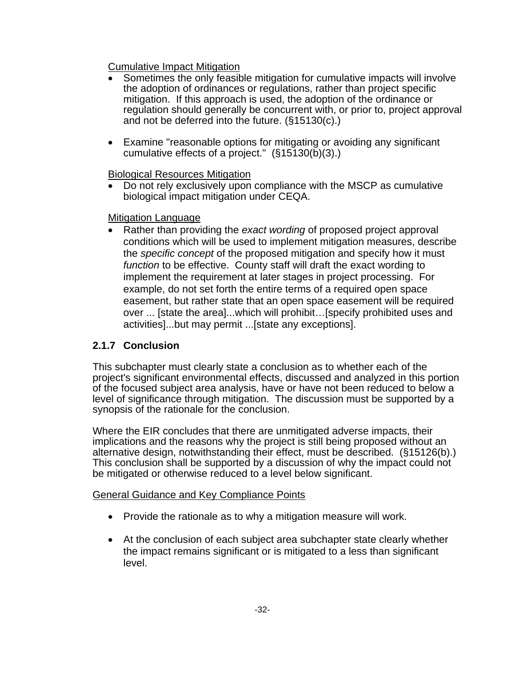Cumulative Impact Mitigation

- Sometimes the only feasible mitigation for cumulative impacts will involve the adoption of ordinances or regulations, rather than project specific mitigation. If this approach is used, the adoption of the ordinance or regulation should generally be concurrent with, or prior to, project approval and not be deferred into the future. (§15130(c).)
- Examine "reasonable options for mitigating or avoiding any significant cumulative effects of a project."  $(\S 15130(\bar{b})(3))$

Biological Resources Mitigation

• Do not rely exclusively upon compliance with the MSCP as cumulative biological impact mitigation under CEQA.

#### Mitigation Language

• Rather than providing the *exact wording* of proposed project approval conditions which will be used to implement mitigation measures, describe the *specific concept* of the proposed mitigation and specify how it must *function* to be effective. County staff will draft the exact wording to implement the requirement at later stages in project processing. For example, do not set forth the entire terms of a required open space easement, but rather state that an open space easement will be required over ... [state the area]...which will prohibit…[specify prohibited uses and activities]...but may permit ...[state any exceptions].

### **2.1.7 Conclusion**

This subchapter must clearly state a conclusion as to whether each of the project's significant environmental effects, discussed and analyzed in this portion of the focused subject area analysis, have or have not been reduced to below a level of significance through mitigation. The discussion must be supported by a synopsis of the rationale for the conclusion.

Where the EIR concludes that there are unmitigated adverse impacts, their implications and the reasons why the project is still being proposed without an alternative design, notwithstanding their effect, must be described. (§15126(b).) This conclusion shall be supported by a discussion of why the impact could not be mitigated or otherwise reduced to a level below significant.

General Guidance and Key Compliance Points

- Provide the rationale as to why a mitigation measure will work.
- At the conclusion of each subject area subchapter state clearly whether the impact remains significant or is mitigated to a less than significant level.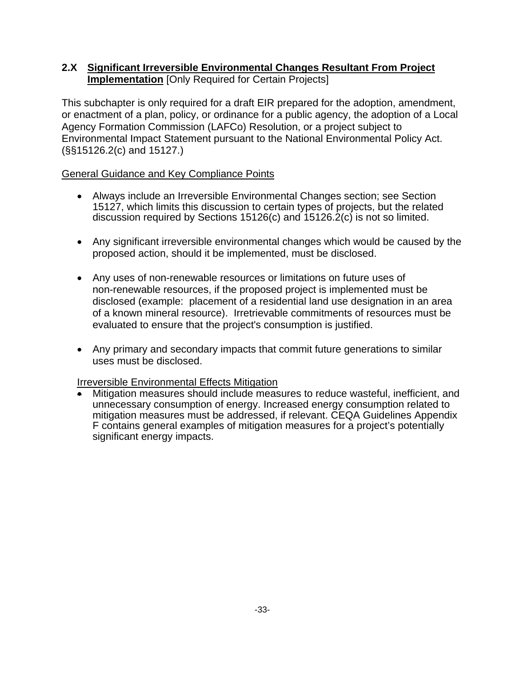#### **2.X Significant Irreversible Environmental Changes Resultant From Project Implementation** [Only Required for Certain Projects]

This subchapter is only required for a draft EIR prepared for the adoption, amendment, or enactment of a plan, policy, or ordinance for a public agency, the adoption of a Local Agency Formation Commission (LAFCo) Resolution, or a project subject to Environmental Impact Statement pursuant to the National Environmental Policy Act. (§§15126.2(c) and 15127.)

#### General Guidance and Key Compliance Points

- Always include an Irreversible Environmental Changes section; see Section 15127, which limits this discussion to certain types of projects, but the related discussion required by Sections 15126(c) and 15126.2(c) is not so limited.
- Any significant irreversible environmental changes which would be caused by the proposed action, should it be implemented, must be disclosed.
- Any uses of non-renewable resources or limitations on future uses of non-renewable resources, if the proposed project is implemented must be disclosed (example: placement of a residential land use designation in an area of a known mineral resource). Irretrievable commitments of resources must be evaluated to ensure that the project's consumption is justified.
- Any primary and secondary impacts that commit future generations to similar uses must be disclosed.

#### Irreversible Environmental Effects Mitigation

• Mitigation measures should include measures to reduce wasteful, inefficient, and unnecessary consumption of energy. Increased energy consumption related to mitigation measures must be addressed, if relevant. CEQA Guidelines Appendix F contains general examples of mitigation measures for a project's potentially significant energy impacts.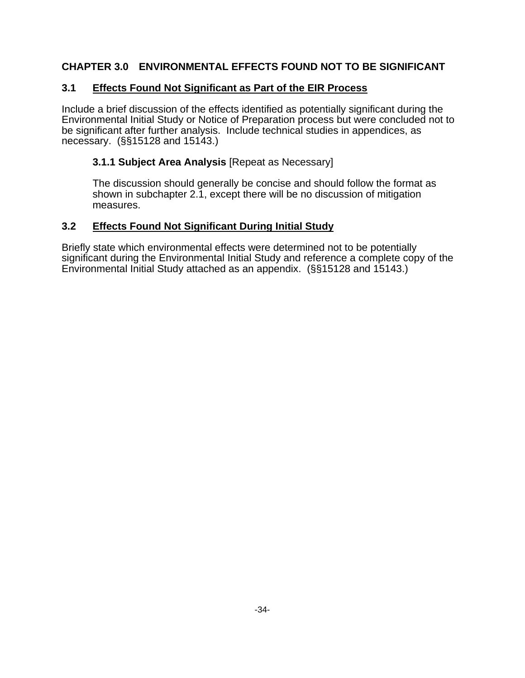### **CHAPTER 3.0 ENVIRONMENTAL EFFECTS FOUND NOT TO BE SIGNIFICANT**

### **3.1 Effects Found Not Significant as Part of the EIR Process**

Include a brief discussion of the effects identified as potentially significant during the Environmental Initial Study or Notice of Preparation process but were concluded not to be significant after further analysis. Include technical studies in appendices, as necessary. (§§15128 and 15143.)

#### **3.1.1 Subject Area Analysis** [Repeat as Necessary]

The discussion should generally be concise and should follow the format as shown in subchapter 2.1, except there will be no discussion of mitigation measures.

#### **3.2 Effects Found Not Significant During Initial Study**

Briefly state which environmental effects were determined not to be potentially significant during the Environmental Initial Study and reference a complete copy of the Environmental Initial Study attached as an appendix. (§§15128 and 15143.)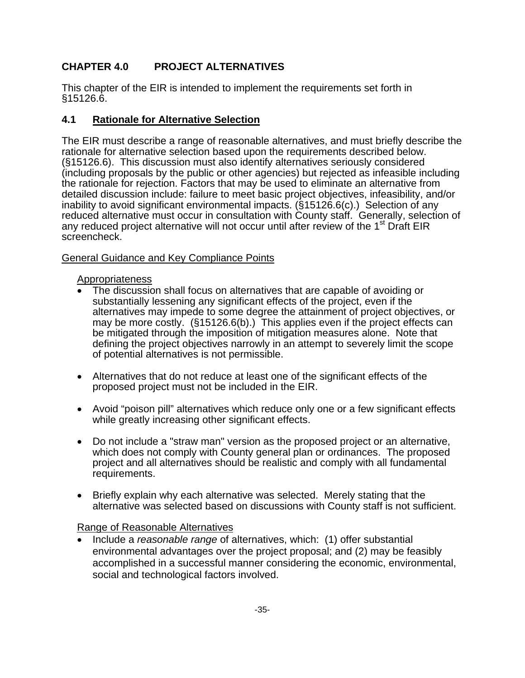## **CHAPTER 4.0 PROJECT ALTERNATIVES**

This chapter of the EIR is intended to implement the requirements set forth in §15126.6.

#### **4.1 Rationale for Alternative Selection**

The EIR must describe a range of reasonable alternatives, and must briefly describe the rationale for alternative selection based upon the requirements described below. (§15126.6). This discussion must also identify alternatives seriously considered (including proposals by the public or other agencies) but rejected as infeasible including the rationale for rejection. Factors that may be used to eliminate an alternative from detailed discussion include: failure to meet basic project objectives, infeasibility, and/or inability to avoid significant environmental impacts. (§15126.6(c).) Selection of any reduced alternative must occur in consultation with County staff. Generally, selection of any reduced project alternative will not occur until after review of the 1<sup>st</sup> Draft EIR screencheck.

#### General Guidance and Key Compliance Points

#### Appropriateness

- The discussion shall focus on alternatives that are capable of avoiding or substantially lessening any significant effects of the project, even if the alternatives may impede to some degree the attainment of project objectives, or may be more costly. (§15126.6(b).) This applies even if the project effects can be mitigated through the imposition of mitigation measures alone. Note that defining the project objectives narrowly in an attempt to severely limit the scope of potential alternatives is not permissible.
- Alternatives that do not reduce at least one of the significant effects of the proposed project must not be included in the EIR.
- Avoid "poison pill" alternatives which reduce only one or a few significant effects while greatly increasing other significant effects.
- Do not include a "straw man" version as the proposed project or an alternative, which does not comply with County general plan or ordinances. The proposed project and all alternatives should be realistic and comply with all fundamental requirements.
- Briefly explain why each alternative was selected. Merely stating that the alternative was selected based on discussions with County staff is not sufficient.

#### Range of Reasonable Alternatives

• Include a *reasonable range* of alternatives, which: (1) offer substantial environmental advantages over the project proposal; and (2) may be feasibly accomplished in a successful manner considering the economic, environmental, social and technological factors involved.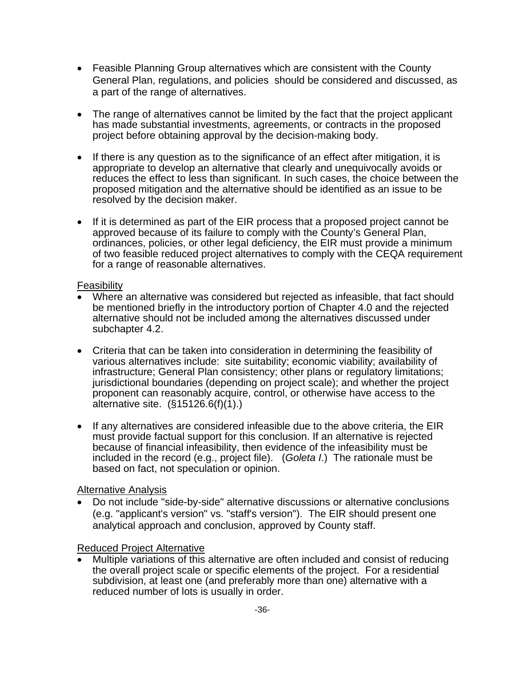- Feasible Planning Group alternatives which are consistent with the County General Plan, regulations, and policies should be considered and discussed, as a part of the range of alternatives.
- The range of alternatives cannot be limited by the fact that the project applicant has made substantial investments, agreements, or contracts in the proposed project before obtaining approval by the decision-making body.
- If there is any question as to the significance of an effect after mitigation, it is appropriate to develop an alternative that clearly and unequivocally avoids or reduces the effect to less than significant. In such cases, the choice between the proposed mitigation and the alternative should be identified as an issue to be resolved by the decision maker.
- If it is determined as part of the EIR process that a proposed project cannot be approved because of its failure to comply with the County's General Plan, ordinances, policies, or other legal deficiency, the EIR must provide a minimum of two feasible reduced project alternatives to comply with the CEQA requirement for a range of reasonable alternatives.

#### Feasibility

- Where an alternative was considered but rejected as infeasible, that fact should be mentioned briefly in the introductory portion of Chapter 4.0 and the rejected alternative should not be included among the alternatives discussed under subchapter 4.2.
- Criteria that can be taken into consideration in determining the feasibility of various alternatives include: site suitability; economic viability; availability of infrastructure; General Plan consistency; other plans or regulatory limitations; jurisdictional boundaries (depending on project scale); and whether the project proponent can reasonably acquire, control, or otherwise have access to the alternative site. (§15126.6(f)(1).)
- If any alternatives are considered infeasible due to the above criteria, the EIR must provide factual support for this conclusion. If an alternative is rejected because of financial infeasibility, then evidence of the infeasibility must be included in the record (e.g., project file). (*Goleta I*.) The rationale must be based on fact, not speculation or opinion.

#### Alternative Analysis

• Do not include "side-by-side" alternative discussions or alternative conclusions (e.g. "applicant's version" vs. "staff's version"). The EIR should present one analytical approach and conclusion, approved by County staff.

#### Reduced Project Alternative

• Multiple variations of this alternative are often included and consist of reducing the overall project scale or specific elements of the project. For a residential subdivision, at least one (and preferably more than one) alternative with a reduced number of lots is usually in order.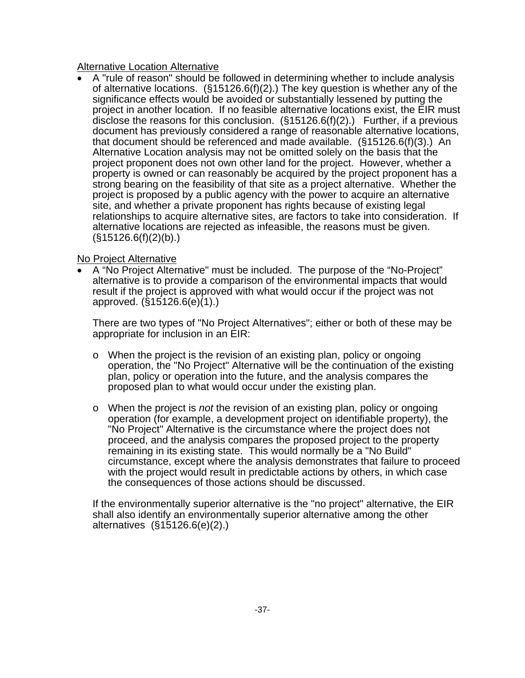Alternative Location Alternative

• A "rule of reason" should be followed in determining whether to include analysis of alternative locations.  $(\S15126.6(f)(2))$  The key question is whether any of the significance effects would be avoided or substantially lessened by putting the project in another location. If no feasible alternative locations exist, the EIR must disclose the reasons for this conclusion.  $(\S15126.6(f)(2))$  Further, if a previous document has previously considered a range of reasonable alternative locations, that document should be referenced and made available. (§15126.6(f)(3).) An Alternative Location analysis may not be omitted solely on the basis that the project proponent does not own other land for the project. However, whether a property is owned or can reasonably be acquired by the project proponent has a strong bearing on the feasibility of that site as a project alternative. Whether the project is proposed by a public agency with the power to acquire an alternative site, and whether a private proponent has rights because of existing legal relationships to acquire alternative sites, are factors to take into consideration. If alternative locations are rejected as infeasible, the reasons must be given.  $(S15126.6(f)(2)(b))$ 

#### No Project Alternative

• A "No Project Alternative" must be included. The purpose of the "No-Project" alternative is to provide a comparison of the environmental impacts that would result if the project is approved with what would occur if the project was not approved. (§15126.6(e)(1).)

There are two types of "No Project Alternatives"; either or both of these may be appropriate for inclusion in an EIR:

- $\circ$  When the project is the revision of an existing plan, policy or ongoing operation, the "No Project" Alternative will be the continuation of the existing plan, policy or operation into the future, and the analysis compares the proposed plan to what would occur under the existing plan.
- o When the project is *not* the revision of an existing plan, policy or ongoing operation (for example, a development project on identifiable property), the "No Project" Alternative is the circumstance where the project does not proceed, and the analysis compares the proposed project to the property remaining in its existing state. This would normally be a "No Build" circumstance, except where the analysis demonstrates that failure to proceed with the project would result in predictable actions by others, in which case the consequences of those actions should be discussed.

If the environmentally superior alternative is the "no project" alternative, the EIR shall also identify an environmentally superior alternative among the other alternatives (§15126.6(e)(2).)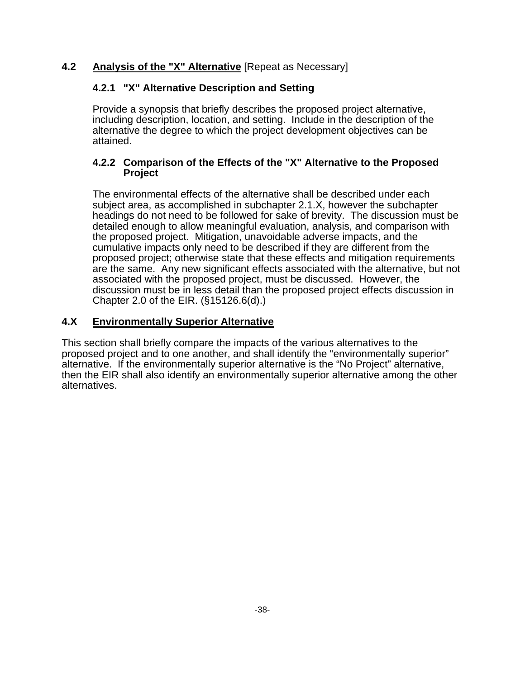### **4.2 Analysis of the "X" Alternative** [Repeat as Necessary]

#### **4.2.1 "X" Alternative Description and Setting**

Provide a synopsis that briefly describes the proposed project alternative, including description, location, and setting. Include in the description of the alternative the degree to which the project development objectives can be attained.

#### **4.2.2 Comparison of the Effects of the "X" Alternative to the Proposed Project**

The environmental effects of the alternative shall be described under each subject area, as accomplished in subchapter 2.1.X, however the subchapter headings do not need to be followed for sake of brevity. The discussion must be detailed enough to allow meaningful evaluation, analysis, and comparison with the proposed project. Mitigation, unavoidable adverse impacts, and the cumulative impacts only need to be described if they are different from the proposed project; otherwise state that these effects and mitigation requirements are the same. Any new significant effects associated with the alternative, but not associated with the proposed project, must be discussed. However, the discussion must be in less detail than the proposed project effects discussion in Chapter 2.0 of the EIR. (§15126.6(d).)

#### **4.X Environmentally Superior Alternative**

This section shall briefly compare the impacts of the various alternatives to the proposed project and to one another, and shall identify the "environmentally superior" alternative. If the environmentally superior alternative is the "No Project" alternative, then the EIR shall also identify an environmentally superior alternative among the other alternatives.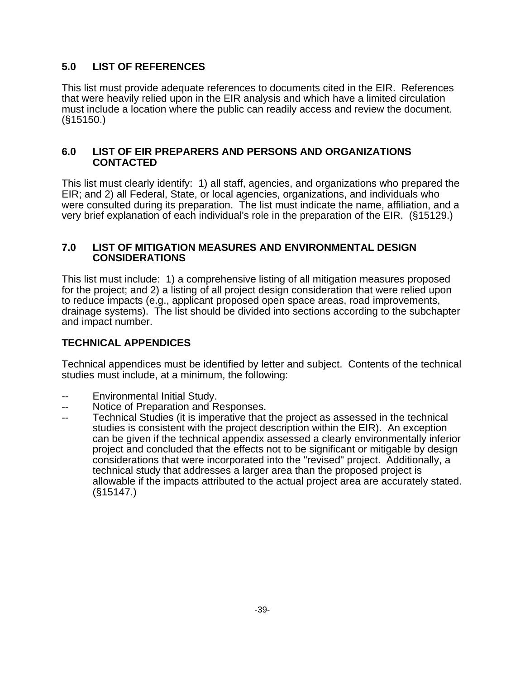### **5.0 LIST OF REFERENCES**

This list must provide adequate references to documents cited in the EIR. References that were heavily relied upon in the EIR analysis and which have a limited circulation must include a location where the public can readily access and review the document. (§15150.)

#### **6.0 LIST OF EIR PREPARERS AND PERSONS AND ORGANIZATIONS CONTACTED**

This list must clearly identify: 1) all staff, agencies, and organizations who prepared the EIR; and 2) all Federal, State, or local agencies, organizations, and individuals who were consulted during its preparation. The list must indicate the name, affiliation, and a very brief explanation of each individual's role in the preparation of the EIR. (§15129.)

#### **7.0 LIST OF MITIGATION MEASURES AND ENVIRONMENTAL DESIGN CONSIDERATIONS**

This list must include: 1) a comprehensive listing of all mitigation measures proposed for the project; and 2) a listing of all project design consideration that were relied upon to reduce impacts (e.g., applicant proposed open space areas, road improvements, drainage systems). The list should be divided into sections according to the subchapter and impact number.

### **TECHNICAL APPENDICES**

Technical appendices must be identified by letter and subject. Contents of the technical studies must include, at a minimum, the following:

- Environmental Initial Study.
- -- Notice of Preparation and Responses.
- -- Technical Studies (it is imperative that the project as assessed in the technical studies is consistent with the project description within the EIR). An exception can be given if the technical appendix assessed a clearly environmentally inferior project and concluded that the effects not to be significant or mitigable by design considerations that were incorporated into the "revised" project. Additionally, a technical study that addresses a larger area than the proposed project is allowable if the impacts attributed to the actual project area are accurately stated. (§15147.)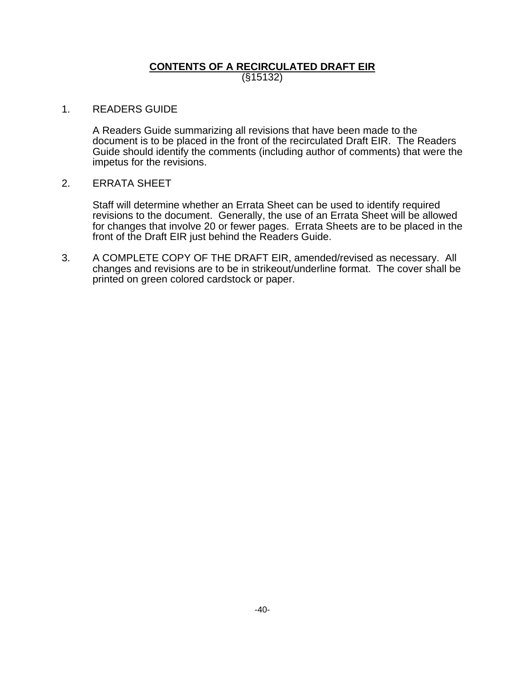#### **CONTENTS OF A RECIRCULATED DRAFT EIR** (§15132)

#### 1. READERS GUIDE

 A Readers Guide summarizing all revisions that have been made to the document is to be placed in the front of the recirculated Draft EIR. The Readers Guide should identify the comments (including author of comments) that were the impetus for the revisions.

#### 2. ERRATA SHEET

 Staff will determine whether an Errata Sheet can be used to identify required revisions to the document. Generally, the use of an Errata Sheet will be allowed for changes that involve 20 or fewer pages. Errata Sheets are to be placed in the front of the Draft EIR just behind the Readers Guide.

3. A COMPLETE COPY OF THE DRAFT EIR, amended/revised as necessary. All changes and revisions are to be in strikeout/underline format. The cover shall be printed on green colored cardstock or paper.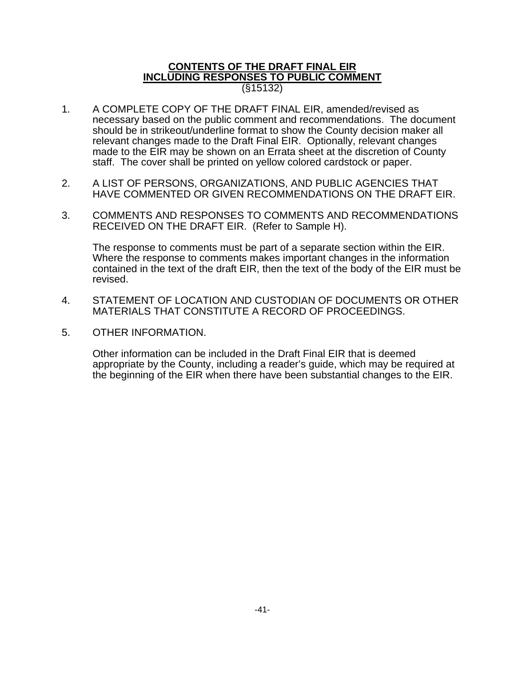#### **CONTENTS OF THE DRAFT FINAL EIR INCLUDING RESPONSES TO PUBLIC COMMENT** (§15132)

- 1. A COMPLETE COPY OF THE DRAFT FINAL EIR, amended/revised as necessary based on the public comment and recommendations. The document should be in strikeout/underline format to show the County decision maker all relevant changes made to the Draft Final EIR. Optionally, relevant changes made to the EIR may be shown on an Errata sheet at the discretion of County staff. The cover shall be printed on yellow colored cardstock or paper.
- 2. A LIST OF PERSONS, ORGANIZATIONS, AND PUBLIC AGENCIES THAT HAVE COMMENTED OR GIVEN RECOMMENDATIONS ON THE DRAFT EIR.
- 3. COMMENTS AND RESPONSES TO COMMENTS AND RECOMMENDATIONS RECEIVED ON THE DRAFT EIR. (Refer to Sample H).

 The response to comments must be part of a separate section within the EIR. Where the response to comments makes important changes in the information contained in the text of the draft EIR, then the text of the body of the EIR must be revised.

- 4. STATEMENT OF LOCATION AND CUSTODIAN OF DOCUMENTS OR OTHER MATERIALS THAT CONSTITUTE A RECORD OF PROCEEDINGS.
- 5. OTHER INFORMATION.

 Other information can be included in the Draft Final EIR that is deemed appropriate by the County, including a reader's guide, which may be required at the beginning of the EIR when there have been substantial changes to the EIR.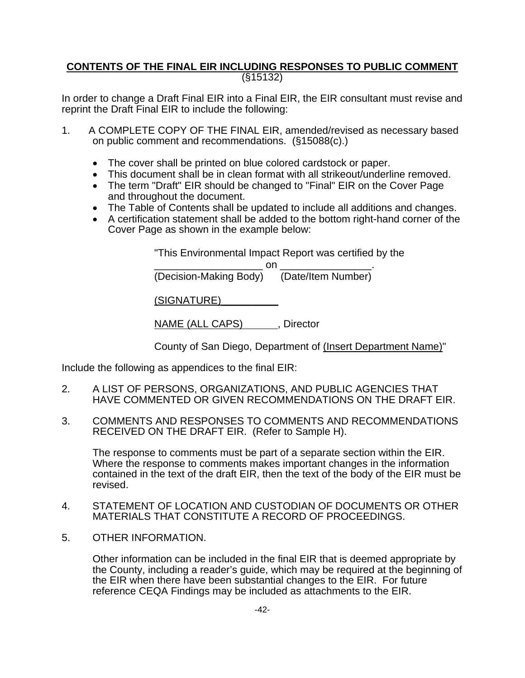#### **CONTENTS OF THE FINAL EIR INCLUDING RESPONSES TO PUBLIC COMMENT** (§15132)

In order to change a Draft Final EIR into a Final EIR, the EIR consultant must revise and reprint the Draft Final EIR to include the following:

- 1. A COMPLETE COPY OF THE FINAL EIR, amended/revised as necessary based on public comment and recommendations. (§15088(c).)
	- The cover shall be printed on blue colored cardstock or paper.
	- This document shall be in clean format with all strikeout/underline removed.
	- The term "Draft" EIR should be changed to "Final" EIR on the Cover Page and throughout the document.
	- The Table of Contents shall be updated to include all additions and changes.
	- A certification statement shall be added to the bottom right-hand corner of the Cover Page as shown in the example below:

"This Environmental Impact Report was certified by the

\_\_\_\_\_\_\_\_\_\_\_\_\_\_\_\_\_\_\_ on \_\_\_\_\_\_\_\_\_\_\_\_\_\_\_\_.

(Decision-Making Body) (Date/Item Number)

(SIGNATURE)\_\_\_\_\_\_\_\_\_\_

NAME (ALL CAPS) \_\_\_\_\_, Director

County of San Diego, Department of (Insert Department Name)"

Include the following as appendices to the final EIR:

- 2. A LIST OF PERSONS, ORGANIZATIONS, AND PUBLIC AGENCIES THAT HAVE COMMENTED OR GIVEN RECOMMENDATIONS ON THE DRAFT EIR.
- 3. COMMENTS AND RESPONSES TO COMMENTS AND RECOMMENDATIONS RECEIVED ON THE DRAFT EIR. (Refer to Sample H).

 The response to comments must be part of a separate section within the EIR. Where the response to comments makes important changes in the information contained in the text of the draft EIR, then the text of the body of the EIR must be revised.

- 4. STATEMENT OF LOCATION AND CUSTODIAN OF DOCUMENTS OR OTHER MATERIALS THAT CONSTITUTE A RECORD OF PROCEEDINGS.
- 5. OTHER INFORMATION.

 Other information can be included in the final EIR that is deemed appropriate by the County, including a reader's guide, which may be required at the beginning of the EIR when there have been substantial changes to the EIR. For future reference CEQA Findings may be included as attachments to the EIR.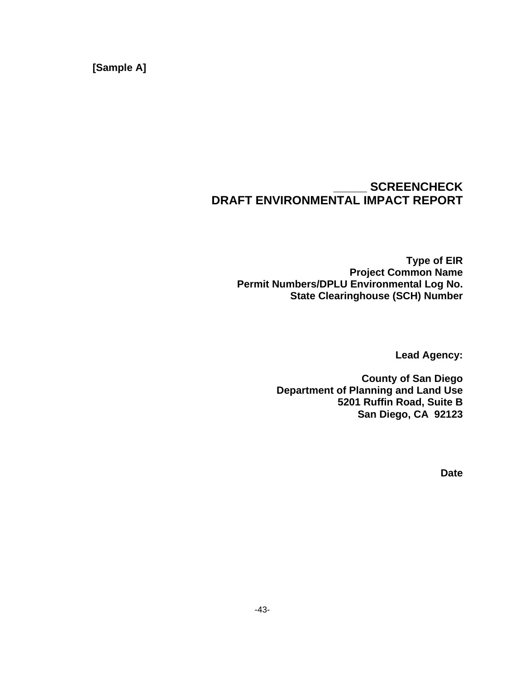**[Sample A]** 

## **\_\_\_\_\_ SCREENCHECK DRAFT ENVIRONMENTAL IMPACT REPORT**

**Type of EIR Project Common Name Permit Numbers/DPLU Environmental Log No. State Clearinghouse (SCH) Number** 

**Lead Agency:** 

**County of San Diego Department of Planning and Land Use 5201 Ruffin Road, Suite B San Diego, CA 92123** 

**Date**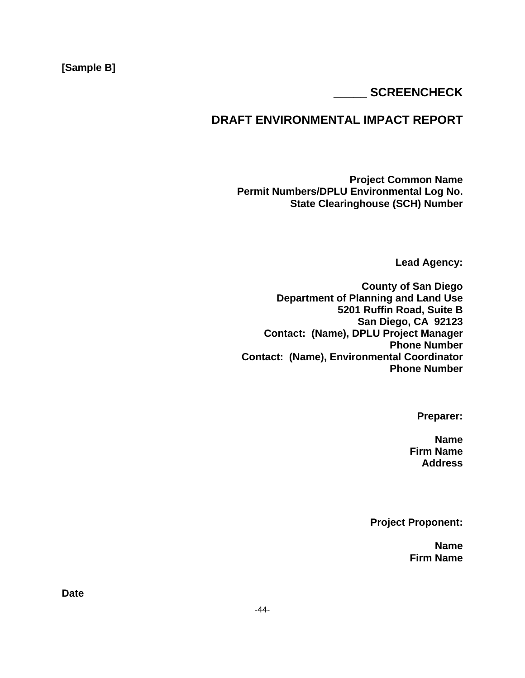### **[Sample B]**

### **\_\_\_\_\_ SCREENCHECK**

## **DRAFT ENVIRONMENTAL IMPACT REPORT**

**Project Common Name Permit Numbers/DPLU Environmental Log No. State Clearinghouse (SCH) Number** 

**Lead Agency:** 

**County of San Diego Department of Planning and Land Use 5201 Ruffin Road, Suite B San Diego, CA 92123 Contact: (Name), DPLU Project Manager Phone Number Contact: (Name), Environmental Coordinator Phone Number** 

**Preparer:** 

**Name Firm Name Address** 

**Project Proponent:** 

**Name Firm Name** 

**Date**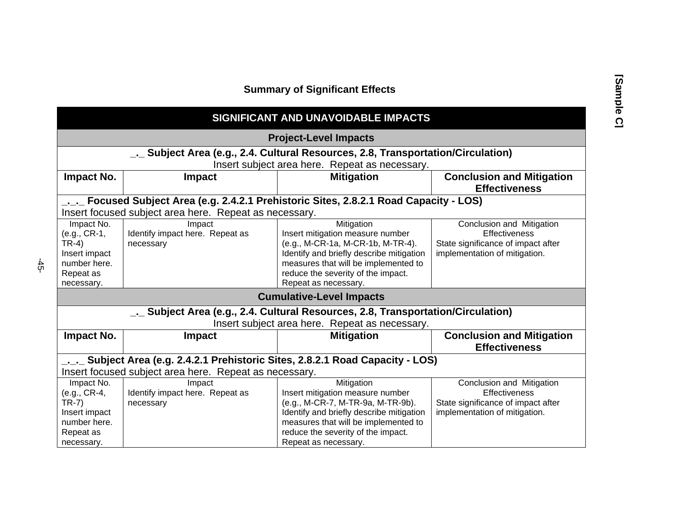#### **Summary of Significant Effects**

#### **SIGNIFICANT AND UNAVOIDABLE IMPACTS Project-Level Impacts \_.\_ Subject Area (e.g., 2.4. Cultural Resources, 2.8, Transportation/Circulation)**  Insert subject area here. Repeat as necessary. **Impact No.** Impact **Impact Impact Mitigation Conclusion and Mitigation Effectiveness \_.\_.\_ Focused Subject Area (e.g. 2.4.2.1 Prehistoric Sites, 2.8.2.1 Road Capacity - LOS)**  Insert focused subject area here. Repeat as necessary. Impact No. (e.g., CR-1, TR-4) Insert impact number here. Repeat as necessary. Impact Identify impact here. Repeat as necessary **Mitigation** Insert mitigation measure number (e.g., M-CR-1a, M-CR-1b, M-TR-4). Identify and briefly describe mitigation measures that will be implemented to reduce the severity of the impact. Repeat as necessary. Conclusion and Mitigation **Effectiveness** State significance of impact after implementation of mitigation. **Cumulative-Level Impacts \_.\_ Subject Area (e.g., 2.4. Cultural Resources, 2.8, Transportation/Circulation)**  Insert subject area here. Repeat as necessary. **Impact No.** Impact **Impact Impact Mitigation Conclusion and Mitigation Effectiveness \_.\_.\_ Subject Area (e.g. 2.4.2.1 Prehistoric Sites, 2.8.2.1 Road Capacity - LOS)**  Insert focused subject area here. Repeat as necessary. Impact No. (e.g., CR-4, TR-7) Insert impact number here. Repeat as necessary. Impact Identify impact here. Repeat as necessary **Mitigation** Insert mitigation measure number (e.g., M-CR-7, M-TR-9a, M-TR-9b). Identify and briefly describe mitigation measures that will be implemented to reduce the severity of the impact. Repeat as necessary. Conclusion and Mitigation **Effectiveness** State significance of impact after implementation of mitigation.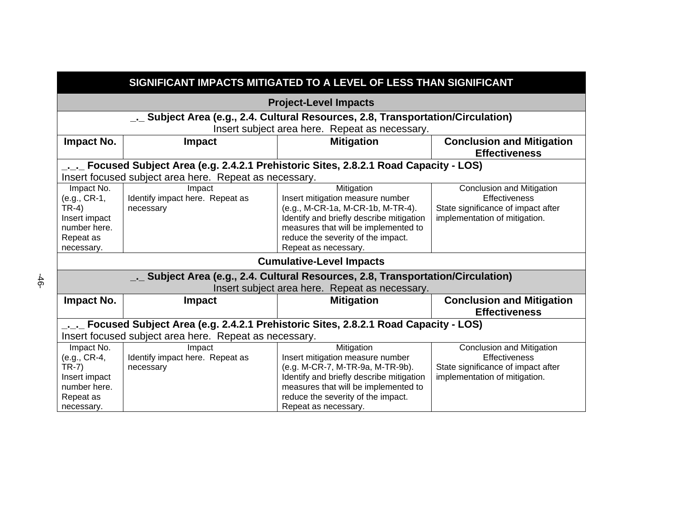| SIGNIFICANT IMPACTS MITIGATED TO A LEVEL OF LESS THAN SIGNIFICANT                        |                                                                                  |                                                                                          |                                                          |  |  |
|------------------------------------------------------------------------------------------|----------------------------------------------------------------------------------|------------------------------------------------------------------------------------------|----------------------------------------------------------|--|--|
|                                                                                          | <b>Project-Level Impacts</b>                                                     |                                                                                          |                                                          |  |  |
|                                                                                          | _. Subject Area (e.g., 2.4. Cultural Resources, 2.8, Transportation/Circulation) |                                                                                          |                                                          |  |  |
|                                                                                          |                                                                                  | Insert subject area here. Repeat as necessary.                                           |                                                          |  |  |
| Impact No.                                                                               | <b>Impact</b>                                                                    | <b>Mitigation</b>                                                                        | <b>Conclusion and Mitigation</b><br><b>Effectiveness</b> |  |  |
|                                                                                          |                                                                                  | _._._ Focused Subject Area (e.g. 2.4.2.1 Prehistoric Sites, 2.8.2.1 Road Capacity - LOS) |                                                          |  |  |
|                                                                                          | Insert focused subject area here. Repeat as necessary.                           |                                                                                          |                                                          |  |  |
| Impact No.                                                                               | Impact                                                                           | Mitigation                                                                               | Conclusion and Mitigation                                |  |  |
| (e.g., CR-1,                                                                             | Identify impact here. Repeat as                                                  | Insert mitigation measure number                                                         | <b>Effectiveness</b>                                     |  |  |
| $TR-4)$                                                                                  | necessary                                                                        | (e.g., M-CR-1a, M-CR-1b, M-TR-4).                                                        | State significance of impact after                       |  |  |
| Insert impact                                                                            |                                                                                  | Identify and briefly describe mitigation                                                 | implementation of mitigation.                            |  |  |
| number here.                                                                             |                                                                                  | measures that will be implemented to                                                     |                                                          |  |  |
| Repeat as                                                                                |                                                                                  | reduce the severity of the impact.                                                       |                                                          |  |  |
| necessary.                                                                               |                                                                                  | Repeat as necessary.                                                                     |                                                          |  |  |
|                                                                                          |                                                                                  | <b>Cumulative-Level Impacts</b>                                                          |                                                          |  |  |
|                                                                                          |                                                                                  | _. Subject Area (e.g., 2.4. Cultural Resources, 2.8, Transportation/Circulation)         |                                                          |  |  |
| Insert subject area here. Repeat as necessary.                                           |                                                                                  |                                                                                          |                                                          |  |  |
| <b>Impact No.</b>                                                                        | <b>Impact</b>                                                                    | <b>Mitigation</b>                                                                        | <b>Conclusion and Mitigation</b>                         |  |  |
|                                                                                          |                                                                                  |                                                                                          | <b>Effectiveness</b>                                     |  |  |
| _._._ Focused Subject Area (e.g. 2.4.2.1 Prehistoric Sites, 2.8.2.1 Road Capacity - LOS) |                                                                                  |                                                                                          |                                                          |  |  |
| Insert focused subject area here. Repeat as necessary.                                   |                                                                                  |                                                                                          |                                                          |  |  |
| Impact No.                                                                               | Impact                                                                           | Mitigation                                                                               | Conclusion and Mitigation                                |  |  |
| (e.g., CR-4,                                                                             | Identify impact here. Repeat as                                                  | Insert mitigation measure number                                                         | <b>Effectiveness</b>                                     |  |  |
| $TR-7)$                                                                                  | necessary                                                                        | (e.g. M-CR-7, M-TR-9a, M-TR-9b).                                                         | State significance of impact after                       |  |  |
| Insert impact                                                                            |                                                                                  | Identify and briefly describe mitigation                                                 | implementation of mitigation.                            |  |  |
| number here.                                                                             |                                                                                  | measures that will be implemented to                                                     |                                                          |  |  |
| Repeat as                                                                                |                                                                                  | reduce the severity of the impact.                                                       |                                                          |  |  |
| necessary.                                                                               |                                                                                  | Repeat as necessary.                                                                     |                                                          |  |  |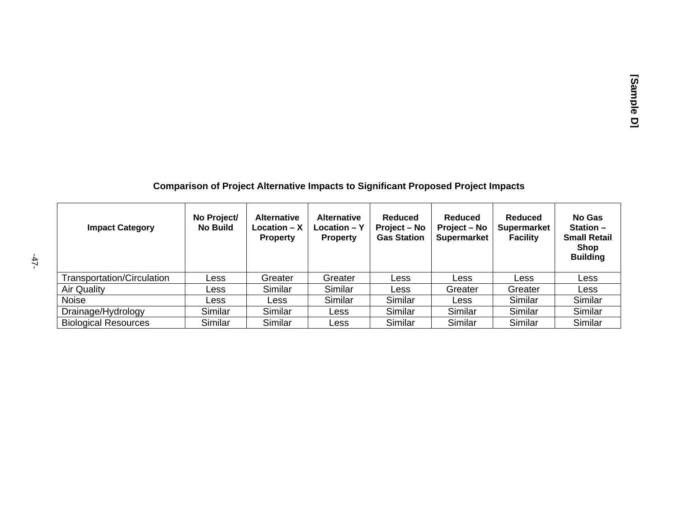## **Comparison of Project Alternative Impacts to Significant Proposed Project Impacts**

| <b>Impact Category</b>      | No Project/<br><b>No Build</b> | <b>Alternative</b><br>$Location - X$<br><b>Property</b> | <b>Alternative</b><br>$Location - Y$<br><b>Property</b> | Reduced<br>Project – No<br><b>Gas Station</b> | <b>Reduced</b><br>Project – No<br><b>Supermarket</b> | <b>Reduced</b><br><b>Supermarket</b><br><b>Facility</b> | No Gas<br>Station $-$<br><b>Small Retail</b><br><b>Shop</b><br><b>Building</b> |
|-----------------------------|--------------------------------|---------------------------------------------------------|---------------------------------------------------------|-----------------------------------------------|------------------------------------------------------|---------------------------------------------------------|--------------------------------------------------------------------------------|
| Transportation/Circulation  | Less                           | Greater                                                 | Greater                                                 | Less                                          | Less                                                 | Less                                                    | Less                                                                           |
| Air Quality                 | Less                           | Similar                                                 | Similar                                                 | Less                                          | Greater                                              | Greater                                                 | Less                                                                           |
| <b>Noise</b>                | Less                           | Less                                                    | Similar                                                 | Similar                                       | Less                                                 | Similar                                                 | Similar                                                                        |
| Drainage/Hydrology          | Similar                        | Similar                                                 | Less                                                    | Similar                                       | Similar                                              | Similar                                                 | Similar                                                                        |
| <b>Biological Resources</b> | Similar                        | Similar                                                 | Less                                                    | Similar                                       | Similar                                              | Similar                                                 | Similar                                                                        |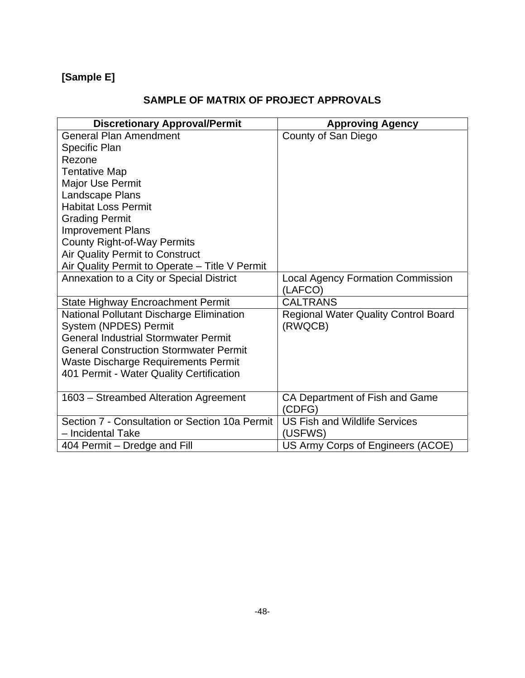## **[Sample E]**

## **SAMPLE OF MATRIX OF PROJECT APPROVALS**

| <b>Discretionary Approval/Permit</b>           | <b>Approving Agency</b>                     |
|------------------------------------------------|---------------------------------------------|
| <b>General Plan Amendment</b>                  | County of San Diego                         |
| Specific Plan                                  |                                             |
| Rezone                                         |                                             |
| <b>Tentative Map</b>                           |                                             |
| <b>Major Use Permit</b>                        |                                             |
| Landscape Plans                                |                                             |
| <b>Habitat Loss Permit</b>                     |                                             |
| <b>Grading Permit</b>                          |                                             |
| <b>Improvement Plans</b>                       |                                             |
| <b>County Right-of-Way Permits</b>             |                                             |
| <b>Air Quality Permit to Construct</b>         |                                             |
| Air Quality Permit to Operate - Title V Permit |                                             |
| Annexation to a City or Special District       | <b>Local Agency Formation Commission</b>    |
|                                                | (LAFCO)                                     |
| State Highway Encroachment Permit              | <b>CALTRANS</b>                             |
| National Pollutant Discharge Elimination       | <b>Regional Water Quality Control Board</b> |
| System (NPDES) Permit                          | (RWQCB)                                     |
| <b>General Industrial Stormwater Permit</b>    |                                             |
| <b>General Construction Stormwater Permit</b>  |                                             |
| Waste Discharge Requirements Permit            |                                             |
| 401 Permit - Water Quality Certification       |                                             |
|                                                |                                             |
| 1603 - Streambed Alteration Agreement          | CA Department of Fish and Game              |
|                                                | (CDFG)                                      |
| Section 7 - Consultation or Section 10a Permit | <b>US Fish and Wildlife Services</b>        |
| - Incidental Take                              | (USFWS)                                     |
| 404 Permit – Dredge and Fill                   | US Army Corps of Engineers (ACOE)           |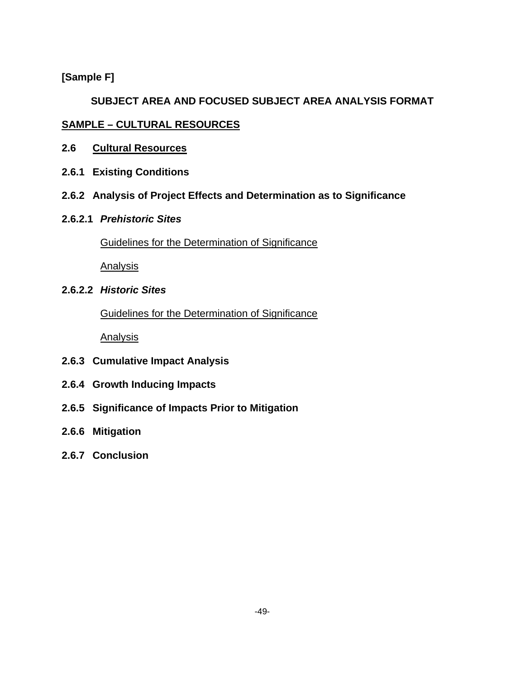#### **[Sample F]**

### **SUBJECT AREA AND FOCUSED SUBJECT AREA ANALYSIS FORMAT**

#### **SAMPLE – CULTURAL RESOURCES**

- **2.6 Cultural Resources**
- **2.6.1 Existing Conditions**
- **2.6.2 Analysis of Project Effects and Determination as to Significance**
- **2.6.2.1** *Prehistoric Sites*

Guidelines for the Determination of Significance

Analysis

**2.6.2.2** *Historic Sites*

Guidelines for the Determination of Significance

Analysis

- **2.6.3 Cumulative Impact Analysis**
- **2.6.4 Growth Inducing Impacts**
- **2.6.5 Significance of Impacts Prior to Mitigation**
- **2.6.6 Mitigation**
- **2.6.7 Conclusion**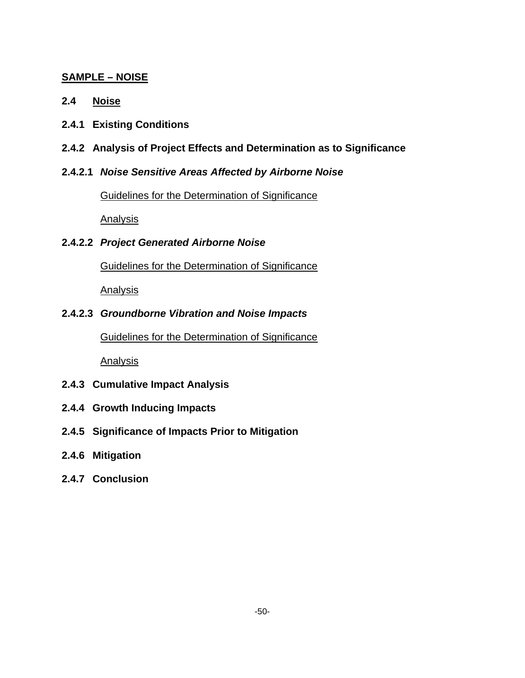### **SAMPLE – NOISE**

- **2.4 Noise**
- **2.4.1 Existing Conditions**
- **2.4.2 Analysis of Project Effects and Determination as to Significance**
- **2.4.2.1** *Noise Sensitive Areas Affected by Airborne Noise*

Guidelines for the Determination of Significance

Analysis

**2.4.2.2** *Project Generated Airborne Noise*

Guidelines for the Determination of Significance

Analysis

#### **2.4.2.3** *Groundborne Vibration and Noise Impacts*

Guidelines for the Determination of Significance

Analysis

- **2.4.3 Cumulative Impact Analysis**
- **2.4.4 Growth Inducing Impacts**
- **2.4.5 Significance of Impacts Prior to Mitigation**
- **2.4.6 Mitigation**
- **2.4.7 Conclusion**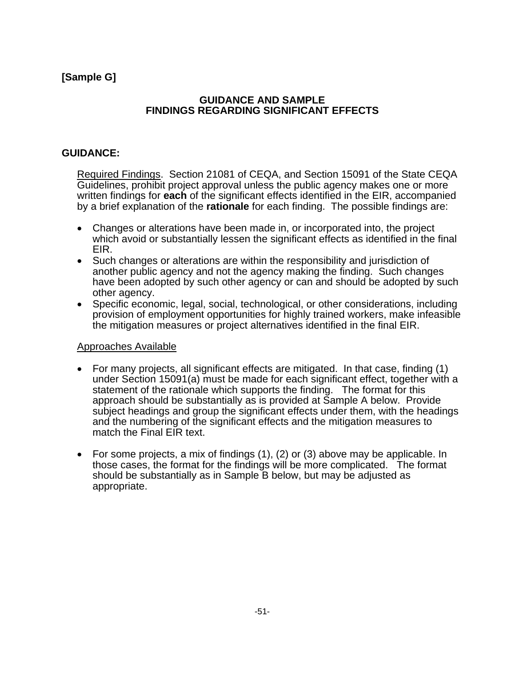#### **GUIDANCE AND SAMPLE FINDINGS REGARDING SIGNIFICANT EFFECTS**

### **GUIDANCE:**

Required Findings. Section 21081 of CEQA, and Section 15091 of the State CEQA Guidelines, prohibit project approval unless the public agency makes one or more written findings for **each** of the significant effects identified in the EIR, accompanied by a brief explanation of the **rationale** for each finding. The possible findings are:

- Changes or alterations have been made in, or incorporated into, the project which avoid or substantially lessen the significant effects as identified in the final EIR.
- Such changes or alterations are within the responsibility and jurisdiction of another public agency and not the agency making the finding. Such changes have been adopted by such other agency or can and should be adopted by such other agency.
- Specific economic, legal, social, technological, or other considerations, including provision of employment opportunities for highly trained workers, make infeasible the mitigation measures or project alternatives identified in the final EIR.

#### Approaches Available

- For many projects, all significant effects are mitigated. In that case, finding (1) under Section 15091(a) must be made for each significant effect, together with a statement of the rationale which supports the finding. The format for this approach should be substantially as is provided at Sample A below. Provide subject headings and group the significant effects under them, with the headings and the numbering of the significant effects and the mitigation measures to match the Final EIR text.
- For some projects, a mix of findings (1), (2) or (3) above may be applicable. In those cases, the format for the findings will be more complicated. The format should be substantially as in Sample B below, but may be adjusted as appropriate.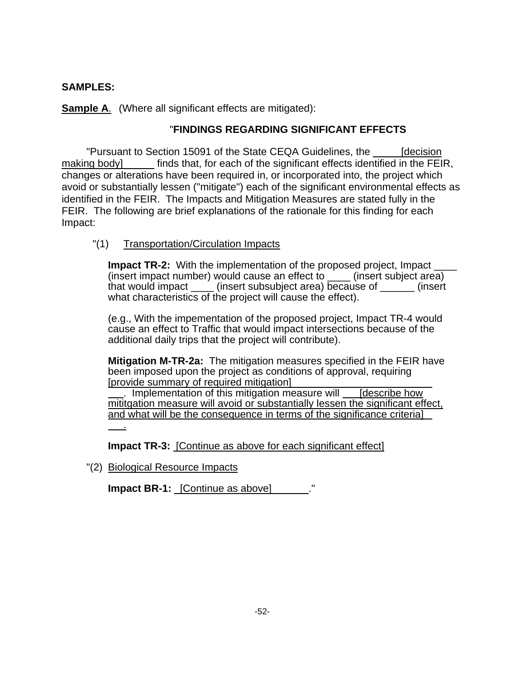#### **SAMPLES:**

**Sample A.** (Where all significant effects are mitigated):

#### "**FINDINGS REGARDING SIGNIFICANT EFFECTS**

"Pursuant to Section 15091 of the State CEQA Guidelines, the [decision making body] finds that, for each of the significant effects identified in the FEIR, changes or alterations have been required in, or incorporated into, the project which avoid or substantially lessen ("mitigate") each of the significant environmental effects as identified in the FEIR. The Impacts and Mitigation Measures are stated fully in the FEIR. The following are brief explanations of the rationale for this finding for each Impact:

#### "(1) Transportation/Circulation Impacts

**Impact TR-2:** With the implementation of the proposed project, Impact (insert impact number) would cause an effect to \_\_\_\_ (insert subject area) that would impact (insert subsubject area) because of cinsert what characteristics of the project will cause the effect).

(e.g., With the impementation of the proposed project, Impact TR-4 would cause an effect to Traffic that would impact intersections because of the additional daily trips that the project will contribute).

**Mitigation M-TR-2a:** The mitigation measures specified in the FEIR have been imposed upon the project as conditions of approval, requiring [provide summary of required mitigation]

. Implementation of this mitigation measure will [describe how mititgation measure will avoid or substantially lessen the significant effect, and what will be the consequence in terms of the significance criteria]

.

**Impact TR-3:** [Continue as above for each significant effect]

"(2) Biological Resource Impacts

**Impact BR-1:** [Continue as above]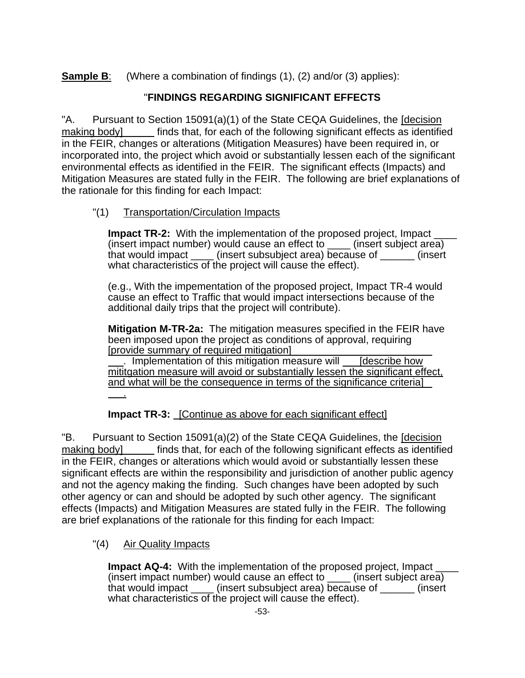**Sample B**: (Where a combination of findings (1), (2) and/or (3) applies):

## "**FINDINGS REGARDING SIGNIFICANT EFFECTS**

"A. Pursuant to Section 15091(a)(1) of the State CEQA Guidelines, the [decision making body] finds that, for each of the following significant effects as identified in the FEIR, changes or alterations (Mitigation Measures) have been required in, or incorporated into, the project which avoid or substantially lessen each of the significant environmental effects as identified in the FEIR. The significant effects (Impacts) and Mitigation Measures are stated fully in the FEIR. The following are brief explanations of the rationale for this finding for each Impact:

### "(1) Transportation/Circulation Impacts

**Impact TR-2:** With the implementation of the proposed project, Impact (insert impact number) would cause an effect to \_\_\_\_ (insert subject area) that would impact (insert subsubject area) because of cinsert what characteristics of the project will cause the effect).

(e.g., With the impementation of the proposed project, Impact TR-4 would cause an effect to Traffic that would impact intersections because of the additional daily trips that the project will contribute).

**Mitigation M-TR-2a:** The mitigation measures specified in the FEIR have been imposed upon the project as conditions of approval, requiring [provide summary of required mitigation]

. Implementation of this mitigation measure will [describe how mititgation measure will avoid or substantially lessen the significant effect, and what will be the consequence in terms of the significance criteria]

.

**Impact TR-3:** [Continue as above for each significant effect]

"B. Pursuant to Section 15091(a)(2) of the State CEQA Guidelines, the [decision making body] finds that, for each of the following significant effects as identified in the FEIR, changes or alterations which would avoid or substantially lessen these significant effects are within the responsibility and jurisdiction of another public agency and not the agency making the finding. Such changes have been adopted by such other agency or can and should be adopted by such other agency. The significant effects (Impacts) and Mitigation Measures are stated fully in the FEIR. The following are brief explanations of the rationale for this finding for each Impact:

"(4) Air Quality Impacts

**Impact AQ-4:** With the implementation of the proposed project. Impact (insert impact number) would cause an effect to \_\_\_\_ (insert subject area) that would impact \_\_\_\_ (insert subsubject area) because of \_\_\_\_\_\_ (insert what characteristics of the project will cause the effect).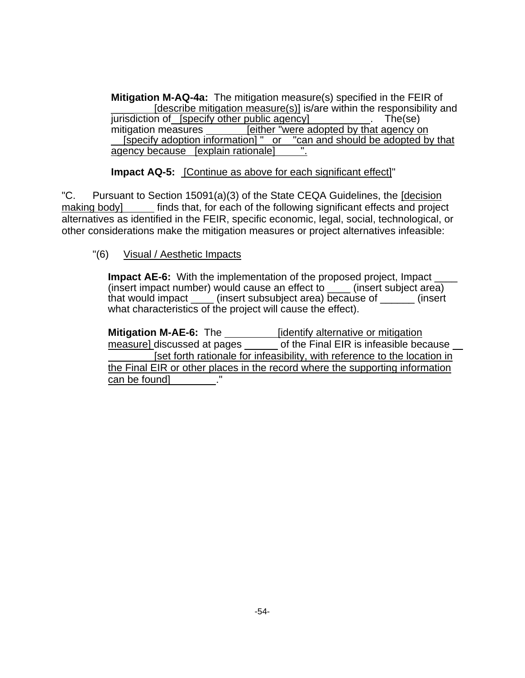**Mitigation M-AQ-4a:** The mitigation measure(s) specified in the FEIR of [describe mitigation measure(s)] is/are within the responsibility and jurisdiction of [specify other public agency] . The (se) mitigation measures **[either "were adopted by that agency on** [specify adoption information] " or "can and should be adopted b " can and should be adopted by that agency because [explain rationale]

**Impact AQ-5:** [Continue as above for each significant effect]"

"C. Pursuant to Section 15091(a)(3) of the State CEQA Guidelines, the [decision making body] finds that, for each of the following significant effects and project alternatives as identified in the FEIR, specific economic, legal, social, technological, or other considerations make the mitigation measures or project alternatives infeasible:

"(6) Visual / Aesthetic Impacts

**Impact AE-6:** With the implementation of the proposed project, Impact (insert impact number) would cause an effect to \_\_\_\_ (insert subject area) that would impact \_\_\_\_\_ (insert subsubject area) because of \_\_\_\_\_\_ (insert what characteristics of the project will cause the effect).

**Mitigation M-AE-6:** The *\_\_\_\_\_\_\_\_\_\_\_\_ [identify alternative or mitigation* measure] discussed at pages \_\_\_\_\_\_ of the Final EIR is infeasible because [set forth rationale for infeasibility, with reference to the location in the Final EIR or other places in the record where the supporting information can be found]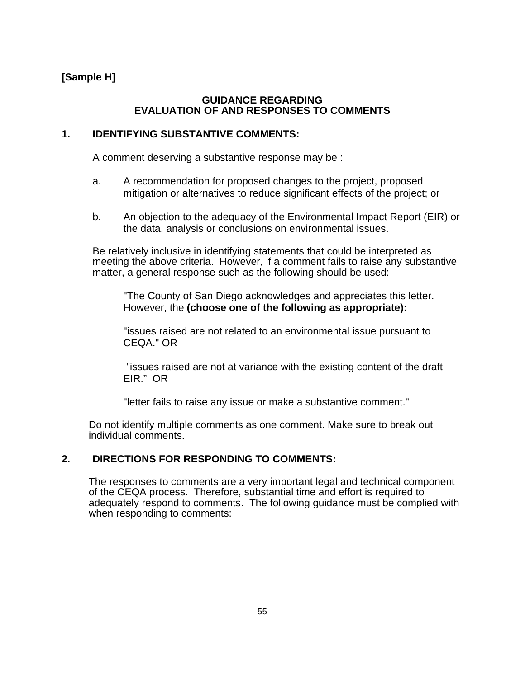### **[Sample H]**

#### **GUIDANCE REGARDING EVALUATION OF AND RESPONSES TO COMMENTS**

#### **1. IDENTIFYING SUBSTANTIVE COMMENTS:**

A comment deserving a substantive response may be :

- a. A recommendation for proposed changes to the project, proposed mitigation or alternatives to reduce significant effects of the project; or
- b. An objection to the adequacy of the Environmental Impact Report (EIR) or the data, analysis or conclusions on environmental issues.

 Be relatively inclusive in identifying statements that could be interpreted as meeting the above criteria. However, if a comment fails to raise any substantive matter, a general response such as the following should be used:

"The County of San Diego acknowledges and appreciates this letter. However, the **(choose one of the following as appropriate):** 

"issues raised are not related to an environmental issue pursuant to CEQA." OR

 "issues raised are not at variance with the existing content of the draft EIR." OR

"letter fails to raise any issue or make a substantive comment."

 Do not identify multiple comments as one comment. Make sure to break out individual comments.

#### **2. DIRECTIONS FOR RESPONDING TO COMMENTS:**

 The responses to comments are a very important legal and technical component of the CEQA process. Therefore, substantial time and effort is required to adequately respond to comments. The following guidance must be complied with when responding to comments: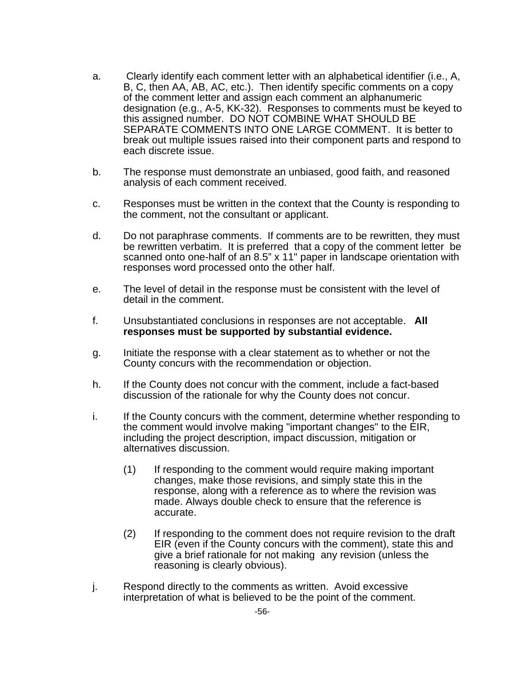- a. Clearly identify each comment letter with an alphabetical identifier (i.e., A, B, C, then AA, AB, AC, etc.). Then identify specific comments on a copy of the comment letter and assign each comment an alphanumeric designation (e.g., A-5, KK-32). Responses to comments must be keyed to this assigned number. DO NOT COMBINE WHAT SHOULD BE SEPARATE COMMENTS INTO ONE LARGE COMMENT. It is better to break out multiple issues raised into their component parts and respond to each discrete issue.
- b. The response must demonstrate an unbiased, good faith, and reasoned analysis of each comment received.
- c. Responses must be written in the context that the County is responding to the comment, not the consultant or applicant.
- d. Do not paraphrase comments. If comments are to be rewritten, they must be rewritten verbatim. It is preferred that a copy of the comment letter be scanned onto one-half of an 8.5" x 11" paper in landscape orientation with responses word processed onto the other half.
- e. The level of detail in the response must be consistent with the level of detail in the comment.
- f. Unsubstantiated conclusions in responses are not acceptable. **All responses must be supported by substantial evidence.**
- g. Initiate the response with a clear statement as to whether or not the County concurs with the recommendation or objection.
- h. If the County does not concur with the comment, include a fact-based discussion of the rationale for why the County does not concur.
- i. If the County concurs with the comment, determine whether responding to the comment would involve making "important changes" to the EIR, including the project description, impact discussion, mitigation or alternatives discussion.
	- (1) If responding to the comment would require making important changes, make those revisions, and simply state this in the response, along with a reference as to where the revision was made. Always double check to ensure that the reference is accurate.
	- (2) If responding to the comment does not require revision to the draft EIR (even if the County concurs with the comment), state this and give a brief rationale for not making any revision (unless the reasoning is clearly obvious).
- j. Respond directly to the comments as written. Avoid excessive interpretation of what is believed to be the point of the comment.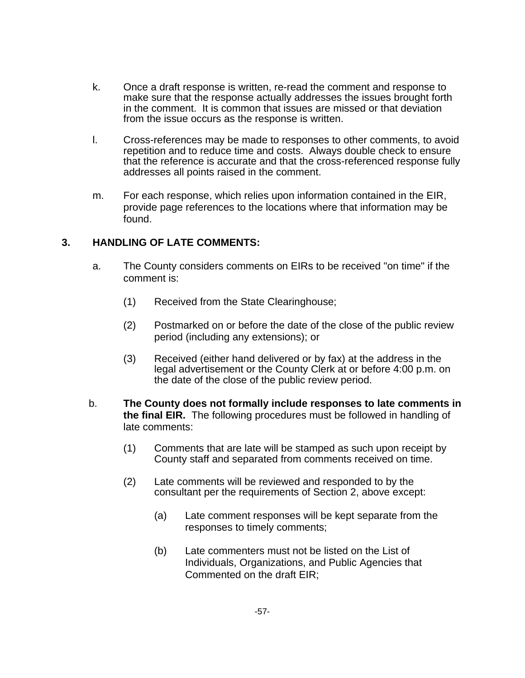- k. Once a draft response is written, re-read the comment and response to make sure that the response actually addresses the issues brought forth in the comment. It is common that issues are missed or that deviation from the issue occurs as the response is written.
- l. Cross-references may be made to responses to other comments, to avoid repetition and to reduce time and costs. Always double check to ensure that the reference is accurate and that the cross-referenced response fully addresses all points raised in the comment.
- m. For each response, which relies upon information contained in the EIR, provide page references to the locations where that information may be found.

#### **3. HANDLING OF LATE COMMENTS:**

- a. The County considers comments on EIRs to be received "on time" if the comment is:
	- (1) Received from the State Clearinghouse;
	- (2) Postmarked on or before the date of the close of the public review period (including any extensions); or
	- (3) Received (either hand delivered or by fax) at the address in the legal advertisement or the County Clerk at or before 4:00 p.m. on the date of the close of the public review period.
- b. **The County does not formally include responses to late comments in the final EIR.** The following procedures must be followed in handling of late comments:
	- (1) Comments that are late will be stamped as such upon receipt by County staff and separated from comments received on time.
	- (2) Late comments will be reviewed and responded to by the consultant per the requirements of Section 2, above except:
		- (a) Late comment responses will be kept separate from the responses to timely comments;
		- (b) Late commenters must not be listed on the List of Individuals, Organizations, and Public Agencies that Commented on the draft EIR;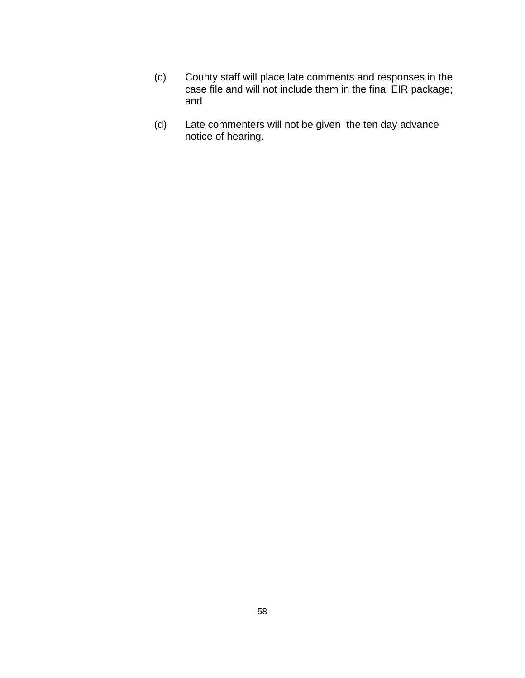- (c) County staff will place late comments and responses in the case file and will not include them in the final EIR package; and
- (d) Late commenters will not be given the ten day advance notice of hearing.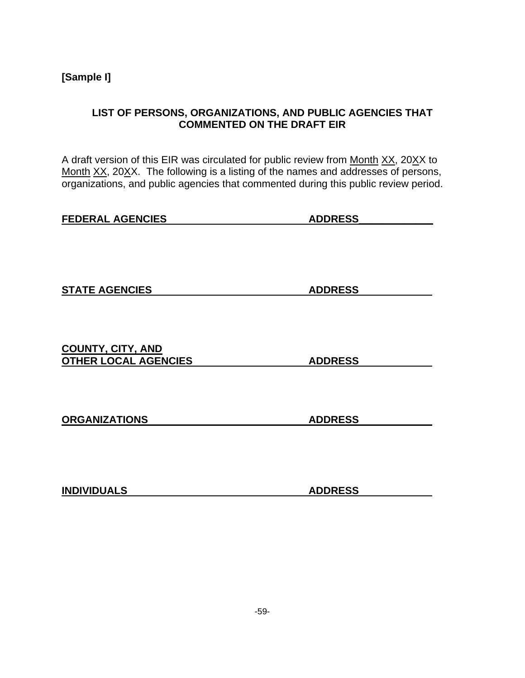**[Sample I]** 

### **LIST OF PERSONS, ORGANIZATIONS, AND PUBLIC AGENCIES THAT COMMENTED ON THE DRAFT EIR**

A draft version of this EIR was circulated for public review from Month XX, 20XX to Month XX, 20XX. The following is a listing of the names and addresses of persons, organizations, and public agencies that commented during this public review period.

| <b>FEDERAL AGENCIES</b> | <b>ADDRESS</b> |
|-------------------------|----------------|
|                         |                |

**STATE AGENCIES** ADDRESS

**COUNTY, CITY, AND OTHER LOCAL AGENCIES ADDRESS** 

**ORGANIZATIONS ADDRESS** 

**INDIVIDUALS ADDRESS**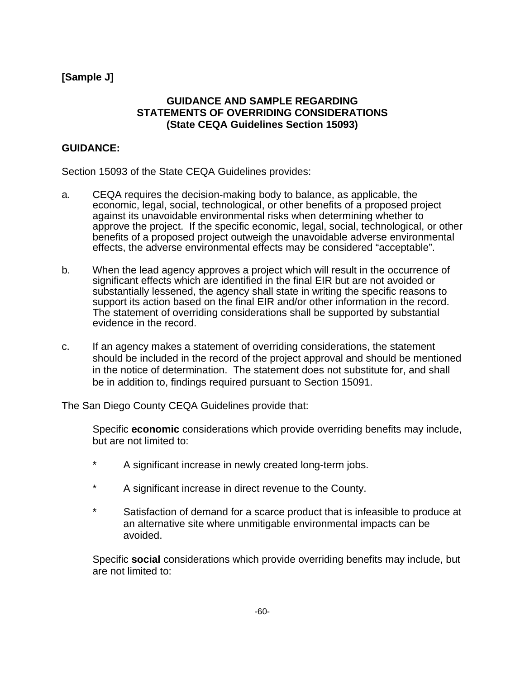#### **[Sample J]**

#### **GUIDANCE AND SAMPLE REGARDING STATEMENTS OF OVERRIDING CONSIDERATIONS (State CEQA Guidelines Section 15093)**

#### **GUIDANCE:**

Section 15093 of the State CEQA Guidelines provides:

- a. CEQA requires the decision-making body to balance, as applicable, the economic, legal, social, technological, or other benefits of a proposed project against its unavoidable environmental risks when determining whether to approve the project. If the specific economic, legal, social, technological, or other benefits of a proposed project outweigh the unavoidable adverse environmental effects, the adverse environmental effects may be considered "acceptable".
- b. When the lead agency approves a project which will result in the occurrence of significant effects which are identified in the final EIR but are not avoided or substantially lessened, the agency shall state in writing the specific reasons to support its action based on the final EIR and/or other information in the record. The statement of overriding considerations shall be supported by substantial evidence in the record.
- c. If an agency makes a statement of overriding considerations, the statement should be included in the record of the project approval and should be mentioned in the notice of determination. The statement does not substitute for, and shall be in addition to, findings required pursuant to Section 15091.

The San Diego County CEQA Guidelines provide that:

 Specific **economic** considerations which provide overriding benefits may include, but are not limited to:

- \* A significant increase in newly created long-term jobs.
- \* A significant increase in direct revenue to the County.
- \* Satisfaction of demand for a scarce product that is infeasible to produce at an alternative site where unmitigable environmental impacts can be avoided.

Specific **social** considerations which provide overriding benefits may include, but are not limited to: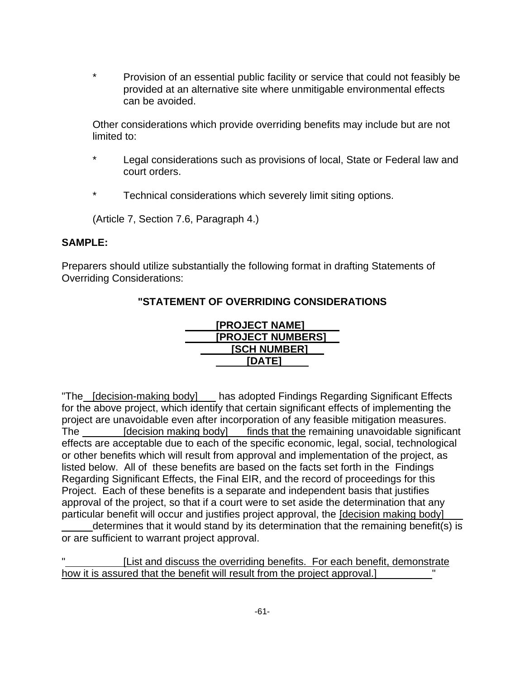\* Provision of an essential public facility or service that could not feasibly be provided at an alternative site where unmitigable environmental effects can be avoided.

Other considerations which provide overriding benefits may include but are not limited to:

- Legal considerations such as provisions of local, State or Federal law and court orders.
- Technical considerations which severely limit siting options.

(Article 7, Section 7.6, Paragraph 4.)

#### **SAMPLE:**

Preparers should utilize substantially the following format in drafting Statements of Overriding Considerations:

# **"STATEMENT OF OVERRIDING CONSIDERATIONS**



"The [decision-making body] has adopted Findings Regarding Significant Effects for the above project, which identify that certain significant effects of implementing the project are unavoidable even after incorporation of any feasible mitigation measures. The [decision making body] finds that the remaining unavoidable significant effects are acceptable due to each of the specific economic, legal, social, technological or other benefits which will result from approval and implementation of the project, as listed below. All of these benefits are based on the facts set forth in the Findings Regarding Significant Effects, the Final EIR, and the record of proceedings for this Project. Each of these benefits is a separate and independent basis that justifies approval of the project, so that if a court were to set aside the determination that any particular benefit will occur and justifies project approval, the [decision making body]

determines that it would stand by its determination that the remaining benefit(s) is or are sufficient to warrant project approval.

[List and discuss the overriding benefits. For each benefit, demonstrate how it is assured that the benefit will result from the project approval.